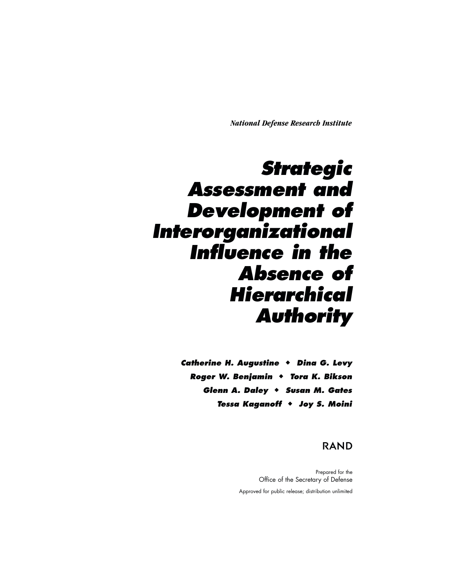*National Defense Research Institute*

# *Strategic Assessment and Development of Interorganizational Influence in the Absence of Hierarchical Authority*

*Catherine H. Augustine* - *Dina G. Levy Roger W. Benjamin* - *Tora K. Bikson Glenn A. Daley* - *Susan M. Gates Tessa Kaganoff* - *Joy S. Moini*

## **RAND**

Prepared for the Office of the Secretary of Defense Approved for public release; distribution unlimited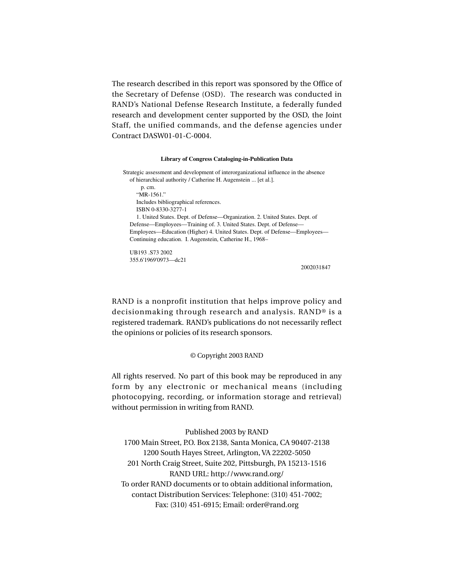The research described in this report was sponsored by the Office of the Secretary of Defense (OSD). The research was conducted in RAND's National Defense Research Institute, a federally funded research and development center supported by the OSD, the Joint Staff, the unified commands, and the defense agencies under Contract DASW01-01-C-0004.

#### **Library of Congress Cataloging-in-Publication Data**

Strategic assessment and development of interorganizational influence in the absence of hierarchical authority / Catherine H. Augenstein ... [et al.]. p. cm. "MR-1561." Includes bibliographical references. ISBN 0-8330-3277-1 1. United States. Dept. of Defense—Organization. 2. United States. Dept. of Defense—Employees—Training of. 3. United States. Dept. of Defense— Employees—Education (Higher) 4. United States. Dept. of Defense—Employees— Continuing education. I. Augenstein, Catherine H., 1968–

UB193 .S73 2002 355.6'1969'0973—dc21

2002031847

RAND is a nonprofit institution that helps improve policy and decisionmaking through research and analysis. RAND® is a registered trademark. RAND's publications do not necessarily reflect the opinions or policies of its research sponsors.

#### © Copyright 2003 RAND

All rights reserved. No part of this book may be reproduced in any form by any electronic or mechanical means (including photocopying, recording, or information storage and retrieval) without permission in writing from RAND.

Published 2003 by RAND

1700 Main Street, P.O. Box 2138, Santa Monica, CA 90407-2138 1200 South Hayes Street, Arlington, VA 22202-5050 201 North Craig Street, Suite 202, Pittsburgh, PA 15213-1516 RAND URL: http://www.rand.org/ To order RAND documents or to obtain additional information, contact Distribution Services: Telephone: (310) 451-7002; Fax: (310) 451-6915; Email: order@rand.org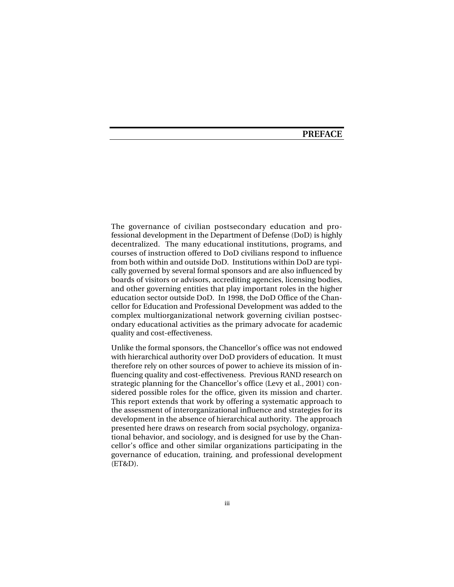## **PREFACE**

The governance of civilian postsecondary education and professional development in the Department of Defense (DoD) is highly decentralized. The many educational institutions, programs, and courses of instruction offered to DoD civilians respond to influence from both within and outside DoD. Institutions within DoD are typically governed by several formal sponsors and are also influenced by boards of visitors or advisors, accrediting agencies, licensing bodies, and other governing entities that play important roles in the higher education sector outside DoD. In 1998, the DoD Office of the Chancellor for Education and Professional Development was added to the complex multiorganizational network governing civilian postsecondary educational activities as the primary advocate for academic quality and cost-effectiveness.

Unlike the formal sponsors, the Chancellor's office was not endowed with hierarchical authority over DoD providers of education. It must therefore rely on other sources of power to achieve its mission of influencing quality and cost-effectiveness. Previous RAND research on strategic planning for the Chancellor's office (Levy et al., 2001) considered possible roles for the office, given its mission and charter. This report extends that work by offering a systematic approach to the assessment of interorganizational influence and strategies for its development in the absence of hierarchical authority. The approach presented here draws on research from social psychology, organizational behavior, and sociology, and is designed for use by the Chancellor's office and other similar organizations participating in the governance of education, training, and professional development (ET&D).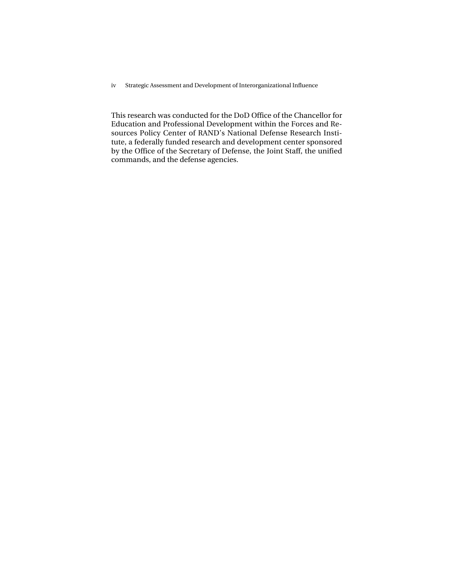iv Strategic Assessment and Development of Interorganizational Influence

This research was conducted for the DoD Office of the Chancellor for Education and Professional Development within the Forces and Resources Policy Center of RAND's National Defense Research Institute, a federally funded research and development center sponsored by the Office of the Secretary of Defense, the Joint Staff, the unified commands, and the defense agencies.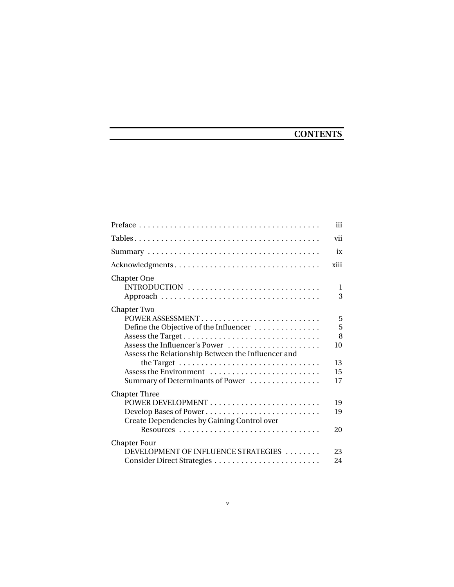## **CONTENTS**

|                                                                                                                                                                                                                                | iii                                 |
|--------------------------------------------------------------------------------------------------------------------------------------------------------------------------------------------------------------------------------|-------------------------------------|
|                                                                                                                                                                                                                                | vii                                 |
|                                                                                                                                                                                                                                | ix                                  |
| Acknowledgments                                                                                                                                                                                                                | xiii                                |
| Chapter One<br>INTRODUCTION                                                                                                                                                                                                    | 1<br>3                              |
| Chapter Two<br>POWER ASSESSMENT<br>Define the Objective of the Influencer<br>Assess the Influencer's Power<br>Assess the Relationship Between the Influencer and<br>Assess the Environment<br>Summary of Determinants of Power | 5<br>5<br>8<br>10<br>13<br>15<br>17 |
| <b>Chapter Three</b><br>Develop Bases of Power<br>Create Dependencies by Gaining Control over                                                                                                                                  | 19<br>19<br>20                      |
| <b>Chapter Four</b><br>DEVELOPMENT OF INFLUENCE STRATEGIES                                                                                                                                                                     | 23<br>24                            |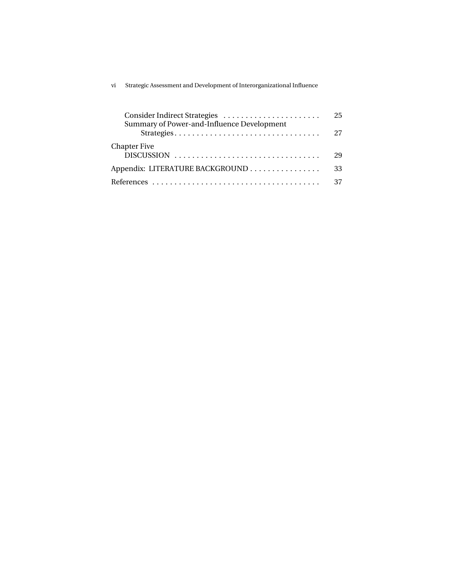| vi | Strategic Assessment and Development of Interorganizational Influence |  |
|----|-----------------------------------------------------------------------|--|
|    |                                                                       |  |

|                                                          | 25 |
|----------------------------------------------------------|----|
| Summary of Power-and-Influence Development<br>Strategies | 27 |
| <b>Chapter Five</b>                                      | 29 |
| Appendix: LITERATURE BACKGROUND                          | 33 |
|                                                          | 37 |
|                                                          |    |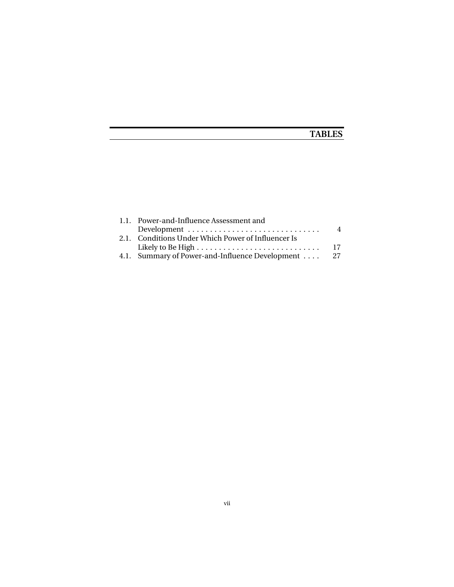## **TABLES**

| 1.1. Power-and-Influence Assessment and                               |                |
|-----------------------------------------------------------------------|----------------|
| Development $\dots\dots\dots\dots\dots\dots\dots\dots\dots\dots\dots$ | $\overline{4}$ |
| 2.1. Conditions Under Which Power of Influencer Is                    |                |
|                                                                       |                |
| 4.1. Summary of Power-and-Influence Development 27                    |                |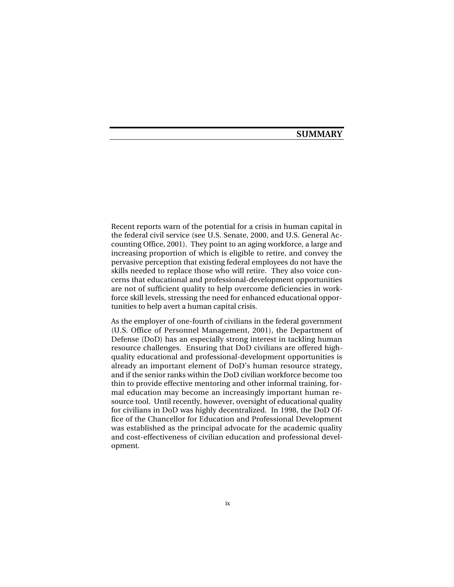## **SUMMARY**

Recent reports warn of the potential for a crisis in human capital in the federal civil service (see U.S. Senate, 2000, and U.S. General Accounting Office, 2001). They point to an aging workforce, a large and increasing proportion of which is eligible to retire, and convey the pervasive perception that existing federal employees do not have the skills needed to replace those who will retire. They also voice concerns that educational and professional-development opportunities are not of sufficient quality to help overcome deficiencies in workforce skill levels, stressing the need for enhanced educational opportunities to help avert a human capital crisis.

As the employer of one-fourth of civilians in the federal government (U.S. Office of Personnel Management, 2001), the Department of Defense (DoD) has an especially strong interest in tackling human resource challenges. Ensuring that DoD civilians are offered highquality educational and professional-development opportunities is already an important element of DoD's human resource strategy, and if the senior ranks within the DoD civilian workforce become too thin to provide effective mentoring and other informal training, formal education may become an increasingly important human resource tool. Until recently, however, oversight of educational quality for civilians in DoD was highly decentralized. In 1998, the DoD Office of the Chancellor for Education and Professional Development was established as the principal advocate for the academic quality and cost-effectiveness of civilian education and professional development.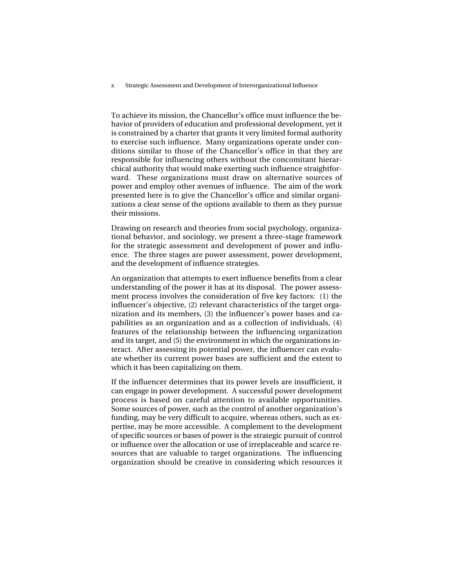x Strategic Assessment and Development of Interorganizational Influence

To achieve its mission, the Chancellor's office must influence the behavior of providers of education and professional development, yet it is constrained by a charter that grants it very limited formal authority to exercise such influence. Many organizations operate under conditions similar to those of the Chancellor's office in that they are responsible for influencing others without the concomitant hierarchical authority that would make exerting such influence straightforward. These organizations must draw on alternative sources of power and employ other avenues of influence. The aim of the work presented here is to give the Chancellor's office and similar organizations a clear sense of the options available to them as they pursue their missions.

Drawing on research and theories from social psychology, organizational behavior, and sociology, we present a three-stage framework for the strategic assessment and development of power and influence. The three stages are power assessment, power development, and the development of influence strategies.

An organization that attempts to exert influence benefits from a clear understanding of the power it has at its disposal. The power assessment process involves the consideration of five key factors: (1) the influencer's objective, (2) relevant characteristics of the target organization and its members, (3) the influencer's power bases and capabilities as an organization and as a collection of individuals, (4) features of the relationship between the influencing organization and its target, and (5) the environment in which the organizations interact. After assessing its potential power, the influencer can evaluate whether its current power bases are sufficient and the extent to which it has been capitalizing on them.

If the influencer determines that its power levels are insufficient, it can engage in power development. A successful power development process is based on careful attention to available opportunities. Some sources of power, such as the control of another organization's funding, may be very difficult to acquire, whereas others, such as expertise, may be more accessible. A complement to the development of specific sources or bases of power is the strategic pursuit of control or influence over the allocation or use of irreplaceable and scarce resources that are valuable to target organizations. The influencing organization should be creative in considering which resources it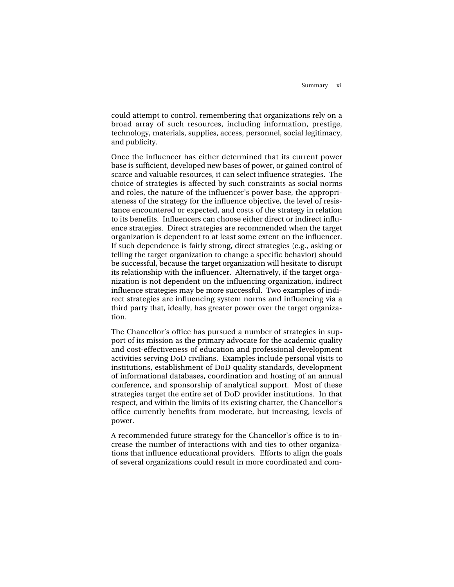could attempt to control, remembering that organizations rely on a broad array of such resources, including information, prestige, technology, materials, supplies, access, personnel, social legitimacy, and publicity.

Once the influencer has either determined that its current power base is sufficient, developed new bases of power, or gained control of scarce and valuable resources, it can select influence strategies. The choice of strategies is affected by such constraints as social norms and roles, the nature of the influencer's power base, the appropriateness of the strategy for the influence objective, the level of resistance encountered or expected, and costs of the strategy in relation to its benefits. Influencers can choose either direct or indirect influence strategies. Direct strategies are recommended when the target organization is dependent to at least some extent on the influencer. If such dependence is fairly strong, direct strategies (e.g., asking or telling the target organization to change a specific behavior) should be successful, because the target organization will hesitate to disrupt its relationship with the influencer. Alternatively, if the target organization is not dependent on the influencing organization, indirect influence strategies may be more successful. Two examples of indirect strategies are influencing system norms and influencing via a third party that, ideally, has greater power over the target organization.

The Chancellor's office has pursued a number of strategies in support of its mission as the primary advocate for the academic quality and cost-effectiveness of education and professional development activities serving DoD civilians. Examples include personal visits to institutions, establishment of DoD quality standards, development of informational databases, coordination and hosting of an annual conference, and sponsorship of analytical support. Most of these strategies target the entire set of DoD provider institutions. In that respect, and within the limits of its existing charter, the Chancellor's office currently benefits from moderate, but increasing, levels of power.

A recommended future strategy for the Chancellor's office is to increase the number of interactions with and ties to other organizations that influence educational providers. Efforts to align the goals of several organizations could result in more coordinated and com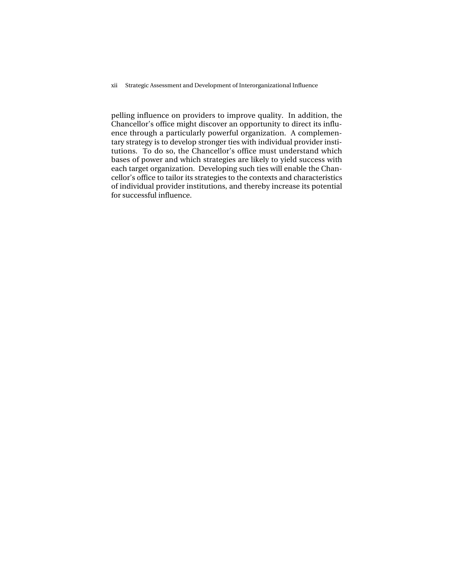xii Strategic Assessment and Development of Interorganizational Influence

pelling influence on providers to improve quality. In addition, the Chancellor's office might discover an opportunity to direct its influence through a particularly powerful organization. A complementary strategy is to develop stronger ties with individual provider institutions. To do so, the Chancellor's office must understand which bases of power and which strategies are likely to yield success with each target organization. Developing such ties will enable the Chancellor's office to tailor its strategies to the contexts and characteristics of individual provider institutions, and thereby increase its potential for successful influence.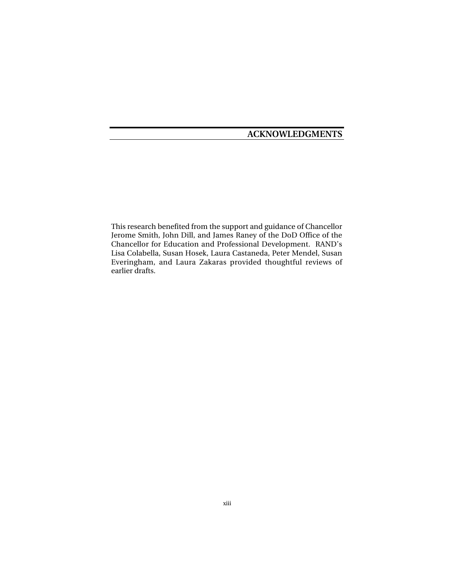## **ACKNOWLEDGMENTS**

This research benefited from the support and guidance of Chancellor Jerome Smith, John Dill, and James Raney of the DoD Office of the Chancellor for Education and Professional Development. RAND's Lisa Colabella, Susan Hosek, Laura Castaneda, Peter Mendel, Susan Everingham, and Laura Zakaras provided thoughtful reviews of earlier drafts.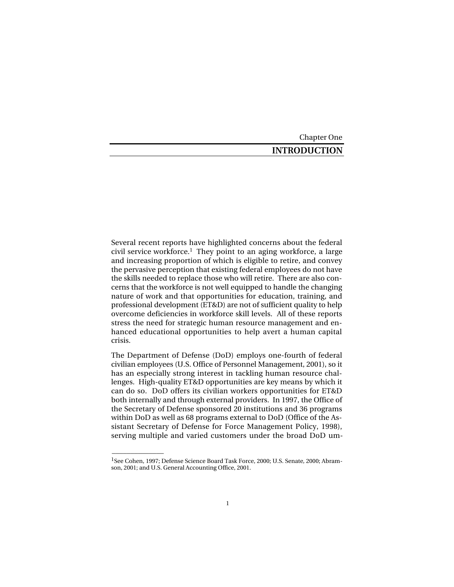#### Chapter One

## **INTRODUCTION**

Several recent reports have highlighted concerns about the federal civil service workforce.1 They point to an aging workforce, a large and increasing proportion of which is eligible to retire, and convey the pervasive perception that existing federal employees do not have the skills needed to replace those who will retire. There are also concerns that the workforce is not well equipped to handle the changing nature of work and that opportunities for education, training, and professional development (ET&D) are not of sufficient quality to help overcome deficiencies in workforce skill levels. All of these reports stress the need for strategic human resource management and enhanced educational opportunities to help avert a human capital crisis.

The Department of Defense (DoD) employs one-fourth of federal civilian employees (U.S. Office of Personnel Management, 2001), so it has an especially strong interest in tackling human resource challenges. High-quality ET&D opportunities are key means by which it can do so. DoD offers its civilian workers opportunities for ET&D both internally and through external providers. In 1997, the Office of the Secretary of Defense sponsored 20 institutions and 36 programs within DoD as well as 68 programs external to DoD (Office of the Assistant Secretary of Defense for Force Management Policy, 1998), serving multiple and varied customers under the broad DoD um-

\_\_\_\_\_\_\_\_\_\_\_\_\_\_

<sup>1</sup>See Cohen, 1997; Defense Science Board Task Force, 2000; U.S. Senate*,* 2000; Abramson, 2001; and U.S. General Accounting Office, 2001.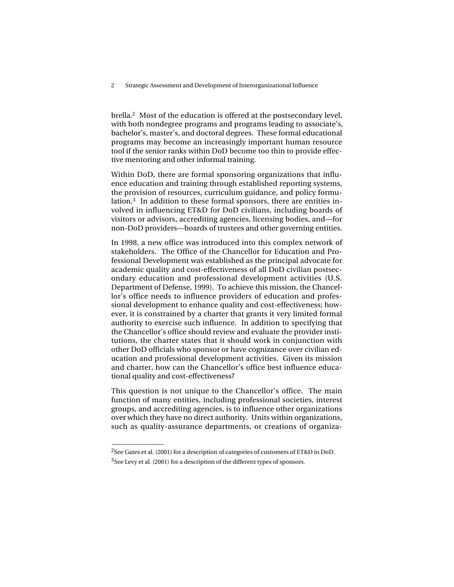brella.2 Most of the education is offered at the postsecondary level, with both nondegree programs and programs leading to associate's, bachelor's, master's, and doctoral degrees. These formal educational programs may become an increasingly important human resource tool if the senior ranks within DoD become too thin to provide effective mentoring and other informal training.

Within DoD, there are formal sponsoring organizations that influence education and training through established reporting systems, the provision of resources, curriculum guidance, and policy formulation.3 In addition to these formal sponsors, there are entities involved in influencing ET&D for DoD civilians, including boards of visitors or advisors, accrediting agencies, licensing bodies, and—for non-DoD providers—boards of trustees and other governing entities.

In 1998, a new office was introduced into this complex network of stakeholders. The Office of the Chancellor for Education and Professional Development was established as the principal advocate for academic quality and cost-effectiveness of all DoD civilian postsecondary education and professional development activities (U.S. Department of Defense, 1999). To achieve this mission, the Chancellor's office needs to influence providers of education and professional development to enhance quality and cost-effectiveness; however, it is constrained by a charter that grants it very limited formal authority to exercise such influence. In addition to specifying that the Chancellor's office should review and evaluate the provider institutions, the charter states that it should work in conjunction with other DoD officials who sponsor or have cognizance over civilian education and professional development activities. Given its mission and charter, how can the Chancellor's office best influence educational quality and cost-effectiveness?

This question is not unique to the Chancellor's office. The main function of many entities, including professional societies, interest groups, and accrediting agencies, is to influence other organizations over which they have no direct authority. Units within organizations, such as quality-assurance departments, or creations of organiza-

\_\_\_\_\_\_\_\_\_\_\_\_\_\_

<sup>2</sup>See Gates et al. (2001) for a description of categories of customers of ET&D in DoD.

<sup>&</sup>lt;sup>3</sup>See Levy et al. (2001) for a description of the different types of sponsors.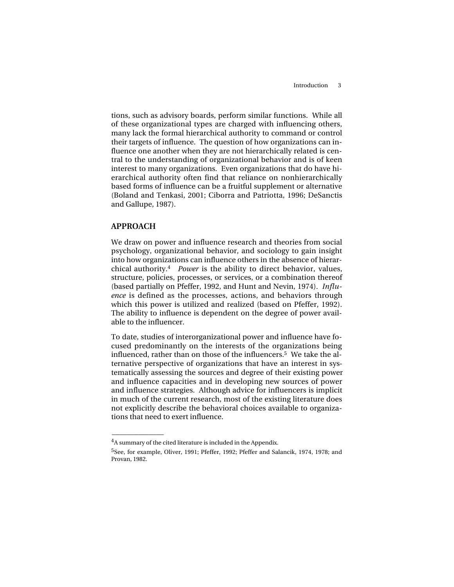tions, such as advisory boards, perform similar functions. While all of these organizational types are charged with influencing others, many lack the formal hierarchical authority to command or control their targets of influence. The question of how organizations can influence one another when they are not hierarchically related is central to the understanding of organizational behavior and is of keen interest to many organizations. Even organizations that do have hierarchical authority often find that reliance on nonhierarchically based forms of influence can be a fruitful supplement or alternative (Boland and Tenkasi, 2001; Ciborra and Patriotta, 1996; DeSanctis and Gallupe, 1987).

#### **APPROACH**

 $\overline{\phantom{a}}$ 

We draw on power and influence research and theories from social psychology, organizational behavior, and sociology to gain insight into how organizations can influence others in the absence of hierarchical authority.4 *Power* is the ability to direct behavior, values, structure, policies, processes, or services, or a combination thereof (based partially on Pfeffer, 1992, and Hunt and Nevin, 1974). *Influence* is defined as the processes, actions, and behaviors through which this power is utilized and realized (based on Pfeffer, 1992). The ability to influence is dependent on the degree of power available to the influencer.

To date, studies of interorganizational power and influence have focused predominantly on the interests of the organizations being influenced, rather than on those of the influencers.<sup>5</sup> We take the alternative perspective of organizations that have an interest in systematically assessing the sources and degree of their existing power and influence capacities and in developing new sources of power and influence strategies. Although advice for influencers is implicit in much of the current research, most of the existing literature does not explicitly describe the behavioral choices available to organizations that need to exert influence.

<sup>4</sup>A summary of the cited literature is included in the Appendix.

<sup>5</sup>See, for example, Oliver, 1991; Pfeffer, 1992; Pfeffer and Salancik, 1974, 1978; and Provan, 1982.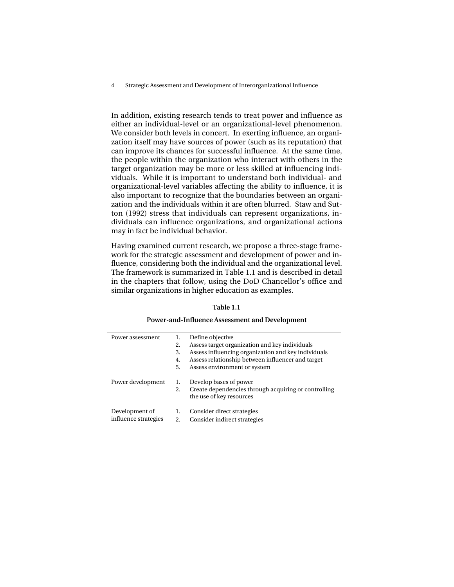4 Strategic Assessment and Development of Interorganizational Influence

In addition, existing research tends to treat power and influence as either an individual-level or an organizational-level phenomenon. We consider both levels in concert. In exerting influence, an organization itself may have sources of power (such as its reputation) that can improve its chances for successful influence. At the same time, the people within the organization who interact with others in the target organization may be more or less skilled at influencing individuals. While it is important to understand both individual- and organizational-level variables affecting the ability to influence, it is also important to recognize that the boundaries between an organization and the individuals within it are often blurred. Staw and Sutton (1992) stress that individuals can represent organizations, individuals can influence organizations, and organizational actions may in fact be individual behavior.

Having examined current research, we propose a three-stage framework for the strategic assessment and development of power and influence, considering both the individual and the organizational level. The framework is summarized in Table 1.1 and is described in detail in the chapters that follow, using the DoD Chancellor's office and similar organizations in higher education as examples.

#### **Table 1.1**

#### **Power-and-Influence Assessment and Development**

| Power assessment     | 1. | Define objective                                     |
|----------------------|----|------------------------------------------------------|
|                      | 2. | Assess target organization and key individuals       |
|                      | 3. | Assess influencing organization and key individuals  |
|                      | 4. | Assess relationship between influencer and target    |
|                      | 5. | Assess environment or system                         |
| Power development    | 1. | Develop bases of power                               |
|                      | 2. | Create dependencies through acquiring or controlling |
|                      |    | the use of key resources                             |
| Development of       | 1. | Consider direct strategies                           |
| influence strategies | 2. | Consider indirect strategies                         |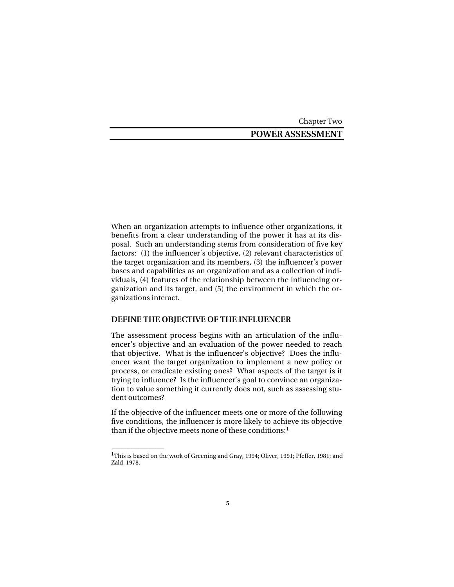Chapter Two

## **POWER ASSESSMENT**

When an organization attempts to influence other organizations, it benefits from a clear understanding of the power it has at its disposal. Such an understanding stems from consideration of five key factors: (1) the influencer's objective, (2) relevant characteristics of the target organization and its members, (3) the influencer's power bases and capabilities as an organization and as a collection of individuals, (4) features of the relationship between the influencing organization and its target, and (5) the environment in which the organizations interact.

## **DEFINE THE OBJECTIVE OF THE INFLUENCER**

 $\overline{\phantom{a}}$ 

The assessment process begins with an articulation of the influencer's objective and an evaluation of the power needed to reach that objective. What is the influencer's objective? Does the influencer want the target organization to implement a new policy or process, or eradicate existing ones? What aspects of the target is it trying to influence? Is the influencer's goal to convince an organization to value something it currently does not, such as assessing student outcomes?

If the objective of the influencer meets one or more of the following five conditions, the influencer is more likely to achieve its objective than if the objective meets none of these conditions:<sup>1</sup>

<sup>&</sup>lt;sup>1</sup>This is based on the work of Greening and Gray, 1994; Oliver, 1991; Pfeffer, 1981; and Zald, 1978.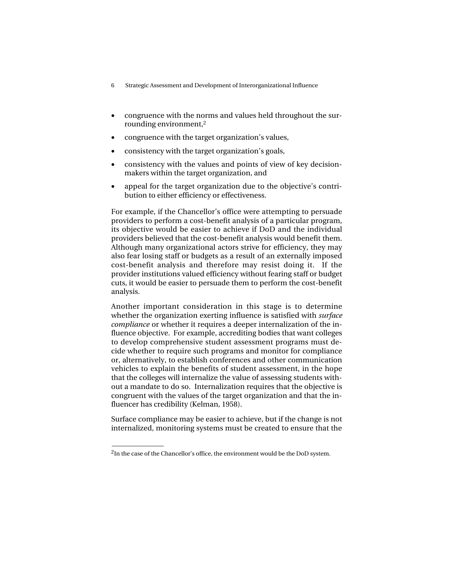- 6 Strategic Assessment and Development of Interorganizational Influence
- congruence with the norms and values held throughout the surrounding environment,<sup>2</sup>
- congruence with the target organization's values,
- consistency with the target organization's goals,
- consistency with the values and points of view of key decisionmakers within the target organization, and
- appeal for the target organization due to the objective's contribution to either efficiency or effectiveness.

For example, if the Chancellor's office were attempting to persuade providers to perform a cost-benefit analysis of a particular program, its objective would be easier to achieve if DoD and the individual providers believed that the cost-benefit analysis would benefit them. Although many organizational actors strive for efficiency, they may also fear losing staff or budgets as a result of an externally imposed cost-benefit analysis and therefore may resist doing it. If the provider institutions valued efficiency without fearing staff or budget cuts, it would be easier to persuade them to perform the cost-benefit analysis.

Another important consideration in this stage is to determine whether the organization exerting influence is satisfied with *surface compliance* or whether it requires a deeper internalization of the influence objective. For example, accrediting bodies that want colleges to develop comprehensive student assessment programs must decide whether to require such programs and monitor for compliance or, alternatively, to establish conferences and other communication vehicles to explain the benefits of student assessment, in the hope that the colleges will internalize the value of assessing students without a mandate to do so. Internalization requires that the objective is congruent with the values of the target organization and that the influencer has credibility (Kelman, 1958).

Surface compliance may be easier to achieve, but if the change is not internalized, monitoring systems must be created to ensure that the

 $\overline{\phantom{a}}$ 

 $2$ In the case of the Chancellor's office, the environment would be the DoD system.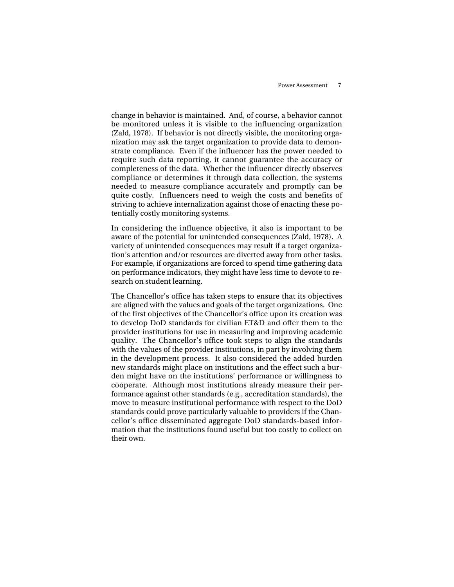change in behavior is maintained. And, of course, a behavior cannot be monitored unless it is visible to the influencing organization (Zald, 1978). If behavior is not directly visible, the monitoring organization may ask the target organization to provide data to demonstrate compliance. Even if the influencer has the power needed to require such data reporting, it cannot guarantee the accuracy or completeness of the data. Whether the influencer directly observes compliance or determines it through data collection, the systems needed to measure compliance accurately and promptly can be quite costly. Influencers need to weigh the costs and benefits of striving to achieve internalization against those of enacting these potentially costly monitoring systems.

In considering the influence objective, it also is important to be aware of the potential for unintended consequences (Zald, 1978). A variety of unintended consequences may result if a target organization's attention and/or resources are diverted away from other tasks. For example, if organizations are forced to spend time gathering data on performance indicators, they might have less time to devote to research on student learning.

The Chancellor's office has taken steps to ensure that its objectives are aligned with the values and goals of the target organizations. One of the first objectives of the Chancellor's office upon its creation was to develop DoD standards for civilian ET&D and offer them to the provider institutions for use in measuring and improving academic quality. The Chancellor's office took steps to align the standards with the values of the provider institutions, in part by involving them in the development process. It also considered the added burden new standards might place on institutions and the effect such a burden might have on the institutions' performance or willingness to cooperate. Although most institutions already measure their performance against other standards (e.g., accreditation standards), the move to measure institutional performance with respect to the DoD standards could prove particularly valuable to providers if the Chancellor's office disseminated aggregate DoD standards-based information that the institutions found useful but too costly to collect on their own.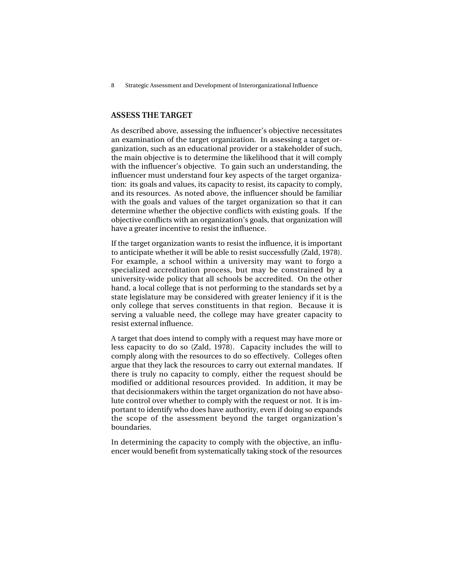## **ASSESS THE TARGET**

As described above, assessing the influencer's objective necessitates an examination of the target organization. In assessing a target organization, such as an educational provider or a stakeholder of such, the main objective is to determine the likelihood that it will comply with the influencer's objective. To gain such an understanding, the influencer must understand four key aspects of the target organization: its goals and values, its capacity to resist, its capacity to comply, and its resources. As noted above, the influencer should be familiar with the goals and values of the target organization so that it can determine whether the objective conflicts with existing goals. If the objective conflicts with an organization's goals, that organization will have a greater incentive to resist the influence.

If the target organization wants to resist the influence, it is important to anticipate whether it will be able to resist successfully (Zald, 1978). For example, a school within a university may want to forgo a specialized accreditation process, but may be constrained by a university-wide policy that all schools be accredited. On the other hand, a local college that is not performing to the standards set by a state legislature may be considered with greater leniency if it is the only college that serves constituents in that region. Because it is serving a valuable need, the college may have greater capacity to resist external influence.

A target that does intend to comply with a request may have more or less capacity to do so (Zald, 1978). Capacity includes the will to comply along with the resources to do so effectively. Colleges often argue that they lack the resources to carry out external mandates. If there is truly no capacity to comply, either the request should be modified or additional resources provided. In addition, it may be that decisionmakers within the target organization do not have absolute control over whether to comply with the request or not. It is important to identify who does have authority, even if doing so expands the scope of the assessment beyond the target organization's boundaries.

In determining the capacity to comply with the objective, an influencer would benefit from systematically taking stock of the resources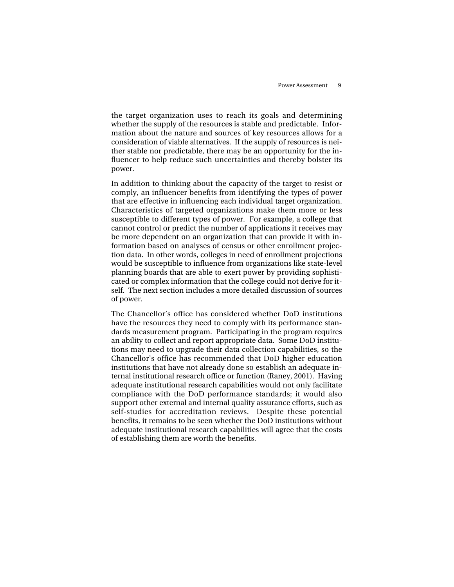the target organization uses to reach its goals and determining whether the supply of the resources is stable and predictable. Information about the nature and sources of key resources allows for a consideration of viable alternatives. If the supply of resources is neither stable nor predictable, there may be an opportunity for the influencer to help reduce such uncertainties and thereby bolster its power.

In addition to thinking about the capacity of the target to resist or comply, an influencer benefits from identifying the types of power that are effective in influencing each individual target organization. Characteristics of targeted organizations make them more or less susceptible to different types of power. For example, a college that cannot control or predict the number of applications it receives may be more dependent on an organization that can provide it with information based on analyses of census or other enrollment projection data. In other words, colleges in need of enrollment projections would be susceptible to influence from organizations like state-level planning boards that are able to exert power by providing sophisticated or complex information that the college could not derive for itself. The next section includes a more detailed discussion of sources of power.

The Chancellor's office has considered whether DoD institutions have the resources they need to comply with its performance standards measurement program. Participating in the program requires an ability to collect and report appropriate data. Some DoD institutions may need to upgrade their data collection capabilities, so the Chancellor's office has recommended that DoD higher education institutions that have not already done so establish an adequate internal institutional research office or function (Raney, 2001). Having adequate institutional research capabilities would not only facilitate compliance with the DoD performance standards; it would also support other external and internal quality assurance efforts, such as self-studies for accreditation reviews. Despite these potential benefits, it remains to be seen whether the DoD institutions without adequate institutional research capabilities will agree that the costs of establishing them are worth the benefits.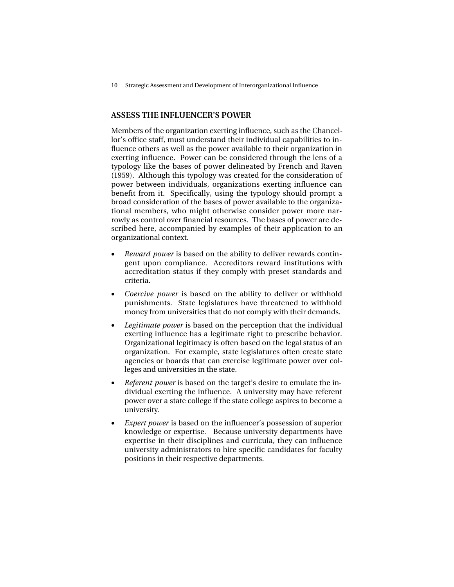### **ASSESS THE INFLUENCER'S POWER**

Members of the organization exerting influence, such as the Chancellor's office staff, must understand their individual capabilities to influence others as well as the power available to their organization in exerting influence. Power can be considered through the lens of a typology like the bases of power delineated by French and Raven (1959). Although this typology was created for the consideration of power between individuals, organizations exerting influence can benefit from it. Specifically, using the typology should prompt a broad consideration of the bases of power available to the organizational members, who might otherwise consider power more narrowly as control over financial resources. The bases of power are described here, accompanied by examples of their application to an organizational context.

- *Reward power* is based on the ability to deliver rewards contingent upon compliance. Accreditors reward institutions with accreditation status if they comply with preset standards and criteria.
- *Coercive power* is based on the ability to deliver or withhold punishments. State legislatures have threatened to withhold money from universities that do not comply with their demands.
- *Legitimate power* is based on the perception that the individual exerting influence has a legitimate right to prescribe behavior. Organizational legitimacy is often based on the legal status of an organization. For example, state legislatures often create state agencies or boards that can exercise legitimate power over colleges and universities in the state.
- *Referent power* is based on the target's desire to emulate the individual exerting the influence. A university may have referent power over a state college if the state college aspires to become a university.
- *Expert power* is based on the influencer's possession of superior knowledge or expertise. Because university departments have expertise in their disciplines and curricula, they can influence university administrators to hire specific candidates for faculty positions in their respective departments.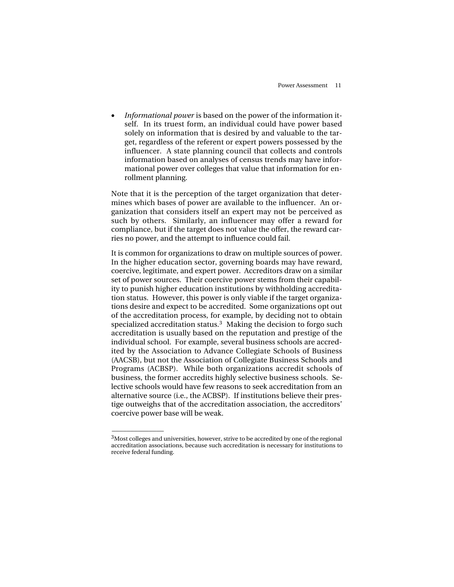• *Informational power* is based on the power of the information itself. In its truest form, an individual could have power based solely on information that is desired by and valuable to the target, regardless of the referent or expert powers possessed by the influencer. A state planning council that collects and controls information based on analyses of census trends may have informational power over colleges that value that information for enrollment planning.

Note that it is the perception of the target organization that determines which bases of power are available to the influencer. An organization that considers itself an expert may not be perceived as such by others. Similarly, an influencer may offer a reward for compliance, but if the target does not value the offer, the reward carries no power, and the attempt to influence could fail.

It is common for organizations to draw on multiple sources of power. In the higher education sector, governing boards may have reward, coercive, legitimate, and expert power. Accreditors draw on a similar set of power sources. Their coercive power stems from their capability to punish higher education institutions by withholding accreditation status. However, this power is only viable if the target organizations desire and expect to be accredited. Some organizations opt out of the accreditation process, for example, by deciding not to obtain specialized accreditation status.<sup>3</sup> Making the decision to forgo such accreditation is usually based on the reputation and prestige of the individual school. For example, several business schools are accredited by the Association to Advance Collegiate Schools of Business (AACSB), but not the Association of Collegiate Business Schools and Programs (ACBSP). While both organizations accredit schools of business, the former accredits highly selective business schools. Selective schools would have few reasons to seek accreditation from an alternative source (i.e., the ACBSP). If institutions believe their prestige outweighs that of the accreditation association, the accreditors' coercive power base will be weak.

\_\_\_\_\_\_\_\_\_\_\_\_\_\_

<sup>&</sup>lt;sup>3</sup>Most colleges and universities, however, strive to be accredited by one of the regional accreditation associations, because such accreditation is necessary for institutions to receive federal funding.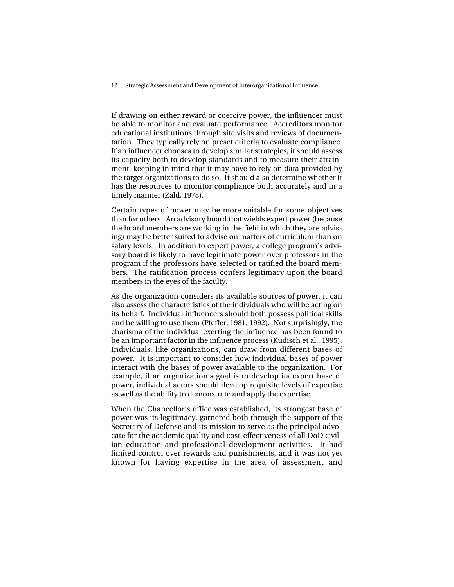If drawing on either reward or coercive power, the influencer must be able to monitor and evaluate performance. Accreditors monitor educational institutions through site visits and reviews of documentation. They typically rely on preset criteria to evaluate compliance. If an influencer chooses to develop similar strategies, it should assess its capacity both to develop standards and to measure their attainment, keeping in mind that it may have to rely on data provided by the target organizations to do so. It should also determine whether it has the resources to monitor compliance both accurately and in a timely manner (Zald, 1978).

Certain types of power may be more suitable for some objectives than for others. An advisory board that wields expert power (because the board members are working in the field in which they are advising) may be better suited to advise on matters of curriculum than on salary levels. In addition to expert power, a college program's advisory board is likely to have legitimate power over professors in the program if the professors have selected or ratified the board members. The ratification process confers legitimacy upon the board members in the eyes of the faculty.

As the organization considers its available sources of power, it can also assess the characteristics of the individuals who will be acting on its behalf. Individual influencers should both possess political skills and be willing to use them (Pfeffer, 1981, 1992). Not surprisingly, the charisma of the individual exerting the influence has been found to be an important factor in the influence process (Kudisch et al., 1995). Individuals, like organizations, can draw from different bases of power. It is important to consider how individual bases of power interact with the bases of power available to the organization. For example, if an organization's goal is to develop its expert base of power, individual actors should develop requisite levels of expertise as well as the ability to demonstrate and apply the expertise.

When the Chancellor's office was established, its strongest base of power was its legitimacy, garnered both through the support of the Secretary of Defense and its mission to serve as the principal advocate for the academic quality and cost-effectiveness of all DoD civilian education and professional development activities. It had limited control over rewards and punishments, and it was not yet known for having expertise in the area of assessment and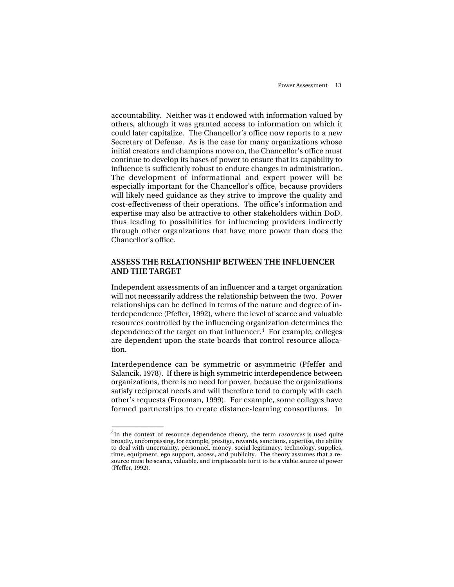accountability. Neither was it endowed with information valued by others, although it was granted access to information on which it could later capitalize. The Chancellor's office now reports to a new Secretary of Defense. As is the case for many organizations whose initial creators and champions move on, the Chancellor's office must continue to develop its bases of power to ensure that its capability to influence is sufficiently robust to endure changes in administration. The development of informational and expert power will be especially important for the Chancellor's office, because providers will likely need guidance as they strive to improve the quality and cost-effectiveness of their operations. The office's information and expertise may also be attractive to other stakeholders within DoD, thus leading to possibilities for influencing providers indirectly through other organizations that have more power than does the Chancellor's office.

## **ASSESS THE RELATIONSHIP BETWEEN THE INFLUENCER AND THE TARGET**

Independent assessments of an influencer and a target organization will not necessarily address the relationship between the two. Power relationships can be defined in terms of the nature and degree of interdependence (Pfeffer, 1992), where the level of scarce and valuable resources controlled by the influencing organization determines the dependence of the target on that influencer. $4$  For example, colleges are dependent upon the state boards that control resource allocation.

Interdependence can be symmetric or asymmetric (Pfeffer and Salancik, 1978). If there is high symmetric interdependence between organizations, there is no need for power, because the organizations satisfy reciprocal needs and will therefore tend to comply with each other's requests (Frooman, 1999). For example, some colleges have formed partnerships to create distance-learning consortiums. In

\_\_\_\_\_\_\_\_\_\_\_\_\_\_

<sup>4</sup>In the context of resource dependence theory, the term *resources* is used quite broadly, encompassing, for example, prestige, rewards, sanctions, expertise, the ability to deal with uncertainty, personnel, money, social legitimacy, technology, supplies, time, equipment, ego support, access, and publicity. The theory assumes that a resource must be scarce, valuable, and irreplaceable for it to be a viable source of power (Pfeffer, 1992).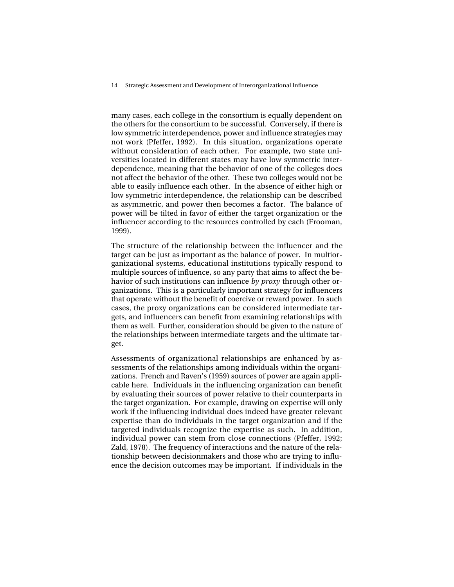14 Strategic Assessment and Development of Interorganizational Influence

many cases, each college in the consortium is equally dependent on the others for the consortium to be successful. Conversely, if there is low symmetric interdependence, power and influence strategies may not work (Pfeffer, 1992). In this situation, organizations operate without consideration of each other. For example, two state universities located in different states may have low symmetric interdependence, meaning that the behavior of one of the colleges does not affect the behavior of the other. These two colleges would not be able to easily influence each other. In the absence of either high or low symmetric interdependence, the relationship can be described as asymmetric, and power then becomes a factor. The balance of power will be tilted in favor of either the target organization or the influencer according to the resources controlled by each (Frooman, 1999).

The structure of the relationship between the influencer and the target can be just as important as the balance of power. In multiorganizational systems, educational institutions typically respond to multiple sources of influence, so any party that aims to affect the behavior of such institutions can influence *by proxy* through other organizations. This is a particularly important strategy for influencers that operate without the benefit of coercive or reward power. In such cases, the proxy organizations can be considered intermediate targets, and influencers can benefit from examining relationships with them as well. Further, consideration should be given to the nature of the relationships between intermediate targets and the ultimate target.

Assessments of organizational relationships are enhanced by assessments of the relationships among individuals within the organizations. French and Raven's (1959) sources of power are again applicable here. Individuals in the influencing organization can benefit by evaluating their sources of power relative to their counterparts in the target organization. For example, drawing on expertise will only work if the influencing individual does indeed have greater relevant expertise than do individuals in the target organization and if the targeted individuals recognize the expertise as such. In addition, individual power can stem from close connections (Pfeffer, 1992; Zald, 1978). The frequency of interactions and the nature of the relationship between decisionmakers and those who are trying to influence the decision outcomes may be important. If individuals in the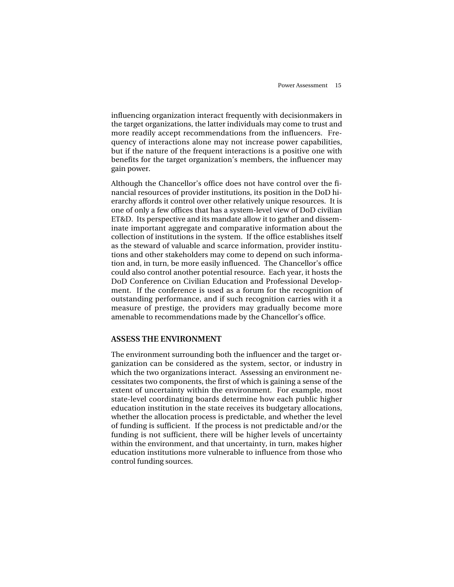influencing organization interact frequently with decisionmakers in the target organizations, the latter individuals may come to trust and more readily accept recommendations from the influencers. Frequency of interactions alone may not increase power capabilities, but if the nature of the frequent interactions is a positive one with benefits for the target organization's members, the influencer may gain power.

Although the Chancellor's office does not have control over the financial resources of provider institutions, its position in the DoD hierarchy affords it control over other relatively unique resources. It is one of only a few offices that has a system-level view of DoD civilian ET&D. Its perspective and its mandate allow it to gather and disseminate important aggregate and comparative information about the collection of institutions in the system. If the office establishes itself as the steward of valuable and scarce information, provider institutions and other stakeholders may come to depend on such information and, in turn, be more easily influenced. The Chancellor's office could also control another potential resource. Each year, it hosts the DoD Conference on Civilian Education and Professional Development. If the conference is used as a forum for the recognition of outstanding performance, and if such recognition carries with it a measure of prestige, the providers may gradually become more amenable to recommendations made by the Chancellor's office.

## **ASSESS THE ENVIRONMENT**

The environment surrounding both the influencer and the target organization can be considered as the system, sector, or industry in which the two organizations interact. Assessing an environment necessitates two components, the first of which is gaining a sense of the extent of uncertainty within the environment. For example, most state-level coordinating boards determine how each public higher education institution in the state receives its budgetary allocations, whether the allocation process is predictable, and whether the level of funding is sufficient. If the process is not predictable and/or the funding is not sufficient, there will be higher levels of uncertainty within the environment, and that uncertainty, in turn, makes higher education institutions more vulnerable to influence from those who control funding sources.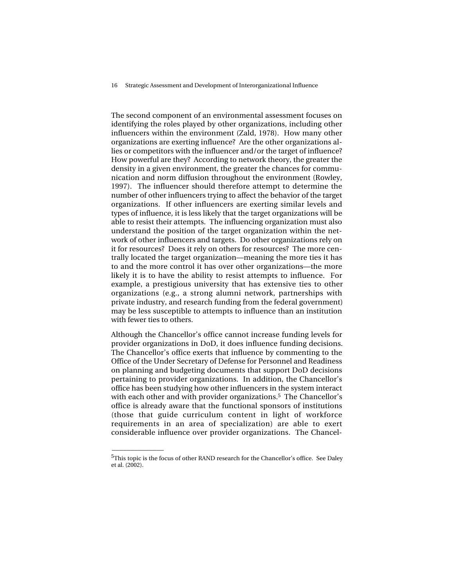16 Strategic Assessment and Development of Interorganizational Influence

The second component of an environmental assessment focuses on identifying the roles played by other organizations, including other influencers within the environment (Zald, 1978). How many other organizations are exerting influence? Are the other organizations allies or competitors with the influencer and/or the target of influence? How powerful are they? According to network theory, the greater the density in a given environment, the greater the chances for communication and norm diffusion throughout the environment (Rowley, 1997). The influencer should therefore attempt to determine the number of other influencers trying to affect the behavior of the target organizations. If other influencers are exerting similar levels and types of influence, it is less likely that the target organizations will be able to resist their attempts. The influencing organization must also understand the position of the target organization within the network of other influencers and targets. Do other organizations rely on it for resources? Does it rely on others for resources? The more centrally located the target organization—meaning the more ties it has to and the more control it has over other organizations—the more likely it is to have the ability to resist attempts to influence. For example, a prestigious university that has extensive ties to other organizations (e.g., a strong alumni network, partnerships with private industry, and research funding from the federal government) may be less susceptible to attempts to influence than an institution with fewer ties to others.

Although the Chancellor's office cannot increase funding levels for provider organizations in DoD, it does influence funding decisions. The Chancellor's office exerts that influence by commenting to the Office of the Under Secretary of Defense for Personnel and Readiness on planning and budgeting documents that support DoD decisions pertaining to provider organizations. In addition, the Chancellor's office has been studying how other influencers in the system interact with each other and with provider organizations.<sup>5</sup> The Chancellor's office is already aware that the functional sponsors of institutions (those that guide curriculum content in light of workforce requirements in an area of specialization) are able to exert considerable influence over provider organizations. The Chancel-

 $\overline{\phantom{a}}$ 

 $5$ This topic is the focus of other RAND research for the Chancellor's office. See Daley et al. (2002).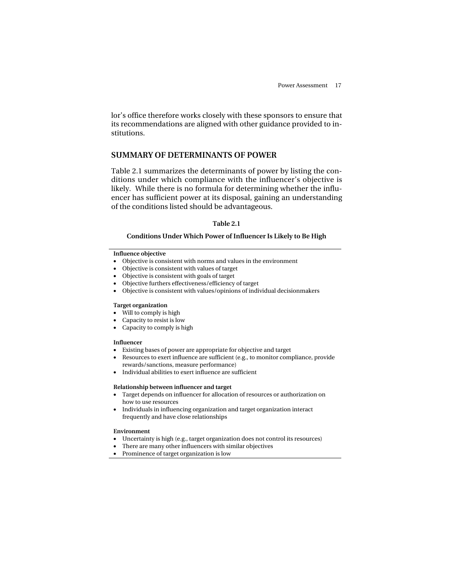lor's office therefore works closely with these sponsors to ensure that its recommendations are aligned with other guidance provided to institutions.

## **SUMMARY OF DETERMINANTS OF POWER**

Table 2.1 summarizes the determinants of power by listing the conditions under which compliance with the influencer's objective is likely. While there is no formula for determining whether the influencer has sufficient power at its disposal, gaining an understanding of the conditions listed should be advantageous.

#### **Table 2.1**

## **Conditions Under Which Power of Influencer Is Likely to Be High**

#### **Influence objective**

- Objective is consistent with norms and values in the environment
- Objective is consistent with values of target
- Objective is consistent with goals of target
- Objective furthers effectiveness/efficiency of target
- Objective is consistent with values/opinions of individual decisionmakers

#### **Target organization**

- Will to comply is high
- Capacity to resist is low
- Capacity to comply is high

#### **Influencer**

- Existing bases of power are appropriate for objective and target
- Resources to exert influence are sufficient (e.g., to monitor compliance, provide rewards/sanctions, measure performance)
- Individual abilities to exert influence are sufficient

#### **Relationship between influencer and target**

- Target depends on influencer for allocation of resources or authorization on how to use resources
- Individuals in influencing organization and target organization interact frequently and have close relationships

#### **Environment**

- Uncertainty is high (e.g., target organization does not control its resources)
- There are many other influencers with similar objectives
- Prominence of target organization is low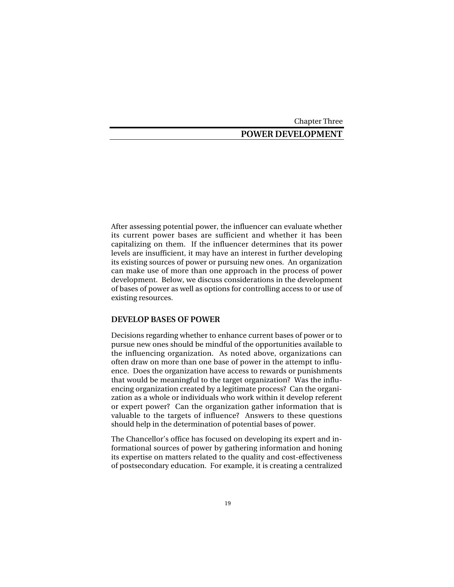#### Chapter Three

## **POWER DEVELOPMENT**

After assessing potential power, the influencer can evaluate whether its current power bases are sufficient and whether it has been capitalizing on them. If the influencer determines that its power levels are insufficient, it may have an interest in further developing its existing sources of power or pursuing new ones. An organization can make use of more than one approach in the process of power development. Below, we discuss considerations in the development of bases of power as well as options for controlling access to or use of existing resources.

#### **DEVELOP BASES OF POWER**

Decisions regarding whether to enhance current bases of power or to pursue new ones should be mindful of the opportunities available to the influencing organization. As noted above, organizations can often draw on more than one base of power in the attempt to influence. Does the organization have access to rewards or punishments that would be meaningful to the target organization? Was the influencing organization created by a legitimate process? Can the organization as a whole or individuals who work within it develop referent or expert power? Can the organization gather information that is valuable to the targets of influence? Answers to these questions should help in the determination of potential bases of power.

The Chancellor's office has focused on developing its expert and informational sources of power by gathering information and honing its expertise on matters related to the quality and cost-effectiveness of postsecondary education. For example, it is creating a centralized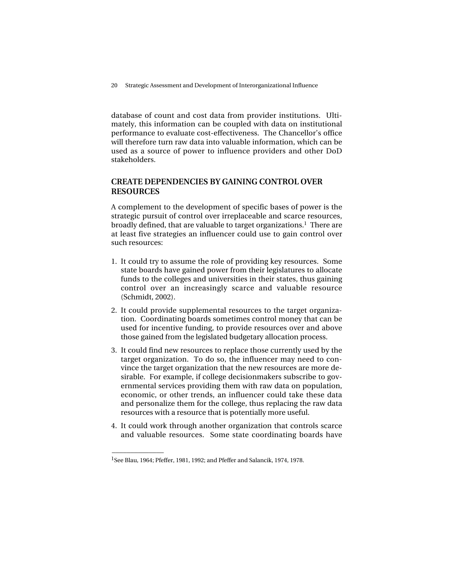20 Strategic Assessment and Development of Interorganizational Influence

database of count and cost data from provider institutions. Ultimately, this information can be coupled with data on institutional performance to evaluate cost-effectiveness. The Chancellor's office will therefore turn raw data into valuable information, which can be used as a source of power to influence providers and other DoD stakeholders.

## **CREATE DEPENDENCIES BY GAINING CONTROL OVER RESOURCES**

A complement to the development of specific bases of power is the strategic pursuit of control over irreplaceable and scarce resources, broadly defined, that are valuable to target organizations.<sup>1</sup> There are at least five strategies an influencer could use to gain control over such resources:

- 1. It could try to assume the role of providing key resources. Some state boards have gained power from their legislatures to allocate funds to the colleges and universities in their states, thus gaining control over an increasingly scarce and valuable resource (Schmidt, 2002).
- 2. It could provide supplemental resources to the target organization. Coordinating boards sometimes control money that can be used for incentive funding, to provide resources over and above those gained from the legislated budgetary allocation process.
- 3. It could find new resources to replace those currently used by the target organization. To do so, the influencer may need to convince the target organization that the new resources are more desirable. For example, if college decisionmakers subscribe to governmental services providing them with raw data on population, economic, or other trends, an influencer could take these data and personalize them for the college, thus replacing the raw data resources with a resource that is potentially more useful.
- 4. It could work through another organization that controls scarce and valuable resources. Some state coordinating boards have

\_\_\_\_\_\_\_\_\_\_\_\_\_\_

<sup>&</sup>lt;sup>1</sup>See Blau, 1964; Pfeffer, 1981, 1992; and Pfeffer and Salancik, 1974, 1978.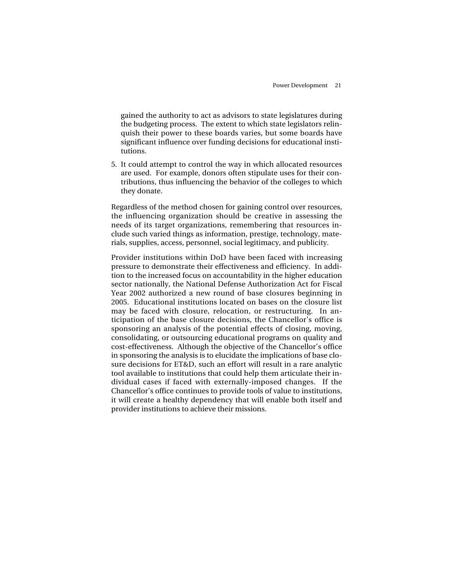gained the authority to act as advisors to state legislatures during the budgeting process. The extent to which state legislators relinquish their power to these boards varies, but some boards have significant influence over funding decisions for educational institutions.

5. It could attempt to control the way in which allocated resources are used. For example, donors often stipulate uses for their contributions, thus influencing the behavior of the colleges to which they donate.

Regardless of the method chosen for gaining control over resources, the influencing organization should be creative in assessing the needs of its target organizations, remembering that resources include such varied things as information, prestige, technology, materials, supplies, access, personnel, social legitimacy, and publicity.

Provider institutions within DoD have been faced with increasing pressure to demonstrate their effectiveness and efficiency. In addition to the increased focus on accountability in the higher education sector nationally, the National Defense Authorization Act for Fiscal Year 2002 authorized a new round of base closures beginning in 2005. Educational institutions located on bases on the closure list may be faced with closure, relocation, or restructuring. In anticipation of the base closure decisions, the Chancellor's office is sponsoring an analysis of the potential effects of closing, moving, consolidating, or outsourcing educational programs on quality and cost-effectiveness. Although the objective of the Chancellor's office in sponsoring the analysis is to elucidate the implications of base closure decisions for ET&D, such an effort will result in a rare analytic tool available to institutions that could help them articulate their individual cases if faced with externally-imposed changes. If the Chancellor's office continues to provide tools of value to institutions, it will create a healthy dependency that will enable both itself and provider institutions to achieve their missions.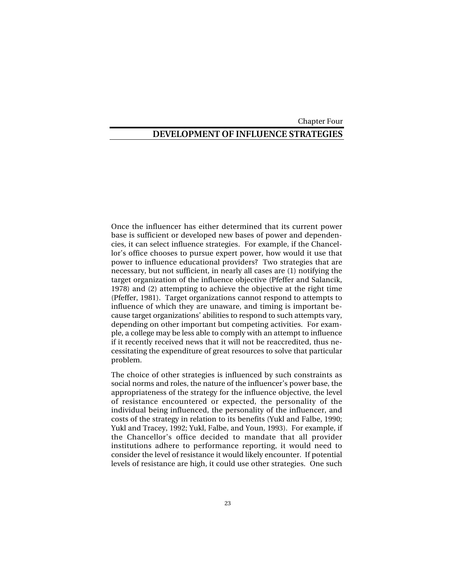Chapter Four

## **DEVELOPMENT OF INFLUENCE STRATEGIES**

Once the influencer has either determined that its current power base is sufficient or developed new bases of power and dependencies, it can select influence strategies. For example, if the Chancellor's office chooses to pursue expert power, how would it use that power to influence educational providers? Two strategies that are necessary, but not sufficient, in nearly all cases are (1) notifying the target organization of the influence objective (Pfeffer and Salancik, 1978) and (2) attempting to achieve the objective at the right time (Pfeffer, 1981). Target organizations cannot respond to attempts to influence of which they are unaware, and timing is important because target organizations' abilities to respond to such attempts vary, depending on other important but competing activities. For example, a college may be less able to comply with an attempt to influence if it recently received news that it will not be reaccredited, thus necessitating the expenditure of great resources to solve that particular problem.

The choice of other strategies is influenced by such constraints as social norms and roles, the nature of the influencer's power base, the appropriateness of the strategy for the influence objective, the level of resistance encountered or expected, the personality of the individual being influenced, the personality of the influencer, and costs of the strategy in relation to its benefits (Yukl and Falbe, 1990; Yukl and Tracey, 1992; Yukl, Falbe, and Youn, 1993). For example, if the Chancellor's office decided to mandate that all provider institutions adhere to performance reporting, it would need to consider the level of resistance it would likely encounter. If potential levels of resistance are high, it could use other strategies. One such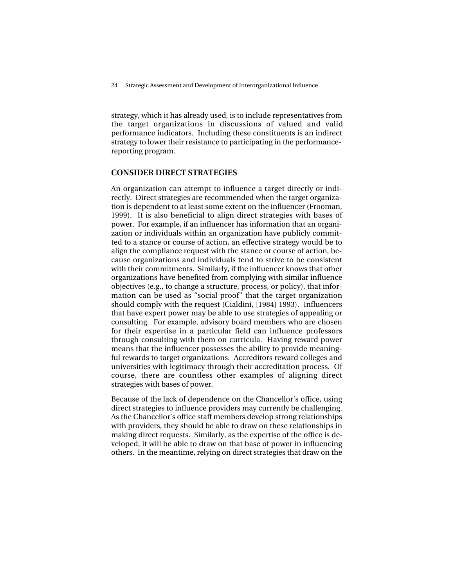24 Strategic Assessment and Development of Interorganizational Influence

strategy, which it has already used, is to include representatives from the target organizations in discussions of valued and valid performance indicators. Including these constituents is an indirect strategy to lower their resistance to participating in the performancereporting program.

## **CONSIDER DIRECT STRATEGIES**

An organization can attempt to influence a target directly or indirectly. Direct strategies are recommended when the target organization is dependent to at least some extent on the influencer (Frooman, 1999). It is also beneficial to align direct strategies with bases of power. For example, if an influencer has information that an organization or individuals within an organization have publicly committed to a stance or course of action, an effective strategy would be to align the compliance request with the stance or course of action, because organizations and individuals tend to strive to be consistent with their commitments. Similarly, if the influencer knows that other organizations have benefited from complying with similar influence objectives (e.g., to change a structure, process, or policy), that information can be used as "social proof" that the target organization should comply with the request (Cialdini, [1984] 1993). Influencers that have expert power may be able to use strategies of appealing or consulting. For example, advisory board members who are chosen for their expertise in a particular field can influence professors through consulting with them on curricula. Having reward power means that the influencer possesses the ability to provide meaningful rewards to target organizations. Accreditors reward colleges and universities with legitimacy through their accreditation process. Of course, there are countless other examples of aligning direct strategies with bases of power.

Because of the lack of dependence on the Chancellor's office, using direct strategies to influence providers may currently be challenging. As the Chancellor's office staff members develop strong relationships with providers, they should be able to draw on these relationships in making direct requests. Similarly, as the expertise of the office is developed, it will be able to draw on that base of power in influencing others. In the meantime, relying on direct strategies that draw on the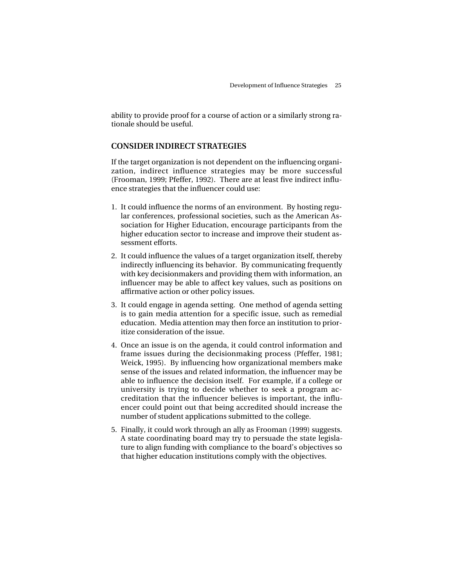ability to provide proof for a course of action or a similarly strong rationale should be useful.

## **CONSIDER INDIRECT STRATEGIES**

If the target organization is not dependent on the influencing organization, indirect influence strategies may be more successful (Frooman, 1999; Pfeffer, 1992). There are at least five indirect influence strategies that the influencer could use:

- 1. It could influence the norms of an environment. By hosting regular conferences, professional societies, such as the American Association for Higher Education, encourage participants from the higher education sector to increase and improve their student assessment efforts.
- 2. It could influence the values of a target organization itself, thereby indirectly influencing its behavior. By communicating frequently with key decisionmakers and providing them with information, an influencer may be able to affect key values, such as positions on affirmative action or other policy issues.
- 3. It could engage in agenda setting. One method of agenda setting is to gain media attention for a specific issue, such as remedial education. Media attention may then force an institution to prioritize consideration of the issue.
- 4. Once an issue is on the agenda, it could control information and frame issues during the decisionmaking process (Pfeffer, 1981; Weick, 1995). By influencing how organizational members make sense of the issues and related information, the influencer may be able to influence the decision itself. For example, if a college or university is trying to decide whether to seek a program accreditation that the influencer believes is important, the influencer could point out that being accredited should increase the number of student applications submitted to the college.
- 5. Finally, it could work through an ally as Frooman (1999) suggests. A state coordinating board may try to persuade the state legislature to align funding with compliance to the board's objectives so that higher education institutions comply with the objectives.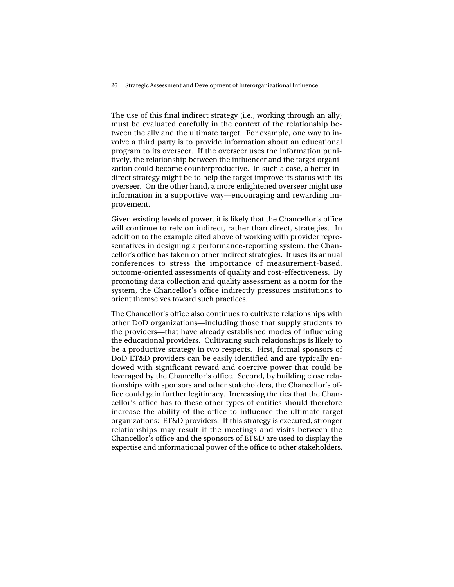26 Strategic Assessment and Development of Interorganizational Influence

The use of this final indirect strategy (i.e., working through an ally) must be evaluated carefully in the context of the relationship between the ally and the ultimate target. For example, one way to involve a third party is to provide information about an educational program to its overseer. If the overseer uses the information punitively, the relationship between the influencer and the target organization could become counterproductive. In such a case, a better indirect strategy might be to help the target improve its status with its overseer. On the other hand, a more enlightened overseer might use information in a supportive way—encouraging and rewarding improvement.

Given existing levels of power, it is likely that the Chancellor's office will continue to rely on indirect, rather than direct, strategies. In addition to the example cited above of working with provider representatives in designing a performance-reporting system, the Chancellor's office has taken on other indirect strategies. It uses its annual conferences to stress the importance of measurement-based, outcome-oriented assessments of quality and cost-effectiveness. By promoting data collection and quality assessment as a norm for the system, the Chancellor's office indirectly pressures institutions to orient themselves toward such practices.

The Chancellor's office also continues to cultivate relationships with other DoD organizations—including those that supply students to the providers—that have already established modes of influencing the educational providers. Cultivating such relationships is likely to be a productive strategy in two respects. First, formal sponsors of DoD ET&D providers can be easily identified and are typically endowed with significant reward and coercive power that could be leveraged by the Chancellor's office. Second, by building close relationships with sponsors and other stakeholders, the Chancellor's office could gain further legitimacy. Increasing the ties that the Chancellor's office has to these other types of entities should therefore increase the ability of the office to influence the ultimate target organizations: ET&D providers. If this strategy is executed, stronger relationships may result if the meetings and visits between the Chancellor's office and the sponsors of ET&D are used to display the expertise and informational power of the office to other stakeholders.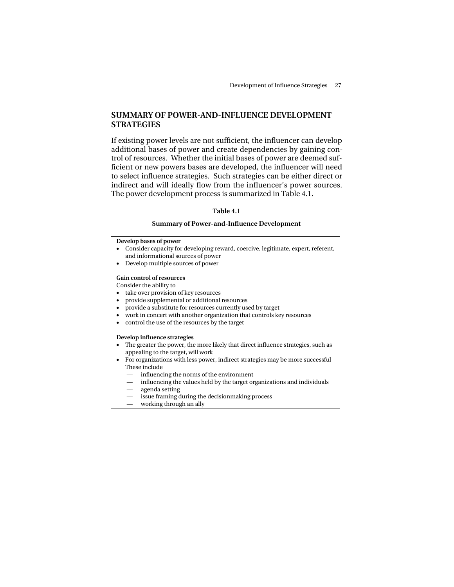## **SUMMARY OF POWER-AND-INFLUENCE DEVELOPMENT STRATEGIES**

If existing power levels are not sufficient, the influencer can develop additional bases of power and create dependencies by gaining control of resources. Whether the initial bases of power are deemed sufficient or new powers bases are developed, the influencer will need to select influence strategies. Such strategies can be either direct or indirect and will ideally flow from the influencer's power sources. The power development process is summarized in Table 4.1.

#### **Table 4.1**

#### **Summary of Power-and-Influence Development**

#### **Develop bases of power**

- Consider capacity for developing reward, coercive, legitimate, expert, referent, and informational sources of power
- Develop multiple sources of power

#### **Gain control of resources**

Consider the ability to

- take over provision of key resources
- provide supplemental or additional resources
- provide a substitute for resources currently used by target
- work in concert with another organization that controls key resources
- control the use of the resources by the target

#### **Develop influence strategies**

- The greater the power, the more likely that direct influence strategies, such as appealing to the target, will work
- For organizations with less power, indirect strategies may be more successful These include
	- influencing the norms of the environment
	- influencing the values held by the target organizations and individuals
	- agenda setting
	- issue framing during the decisionmaking process
	- working through an ally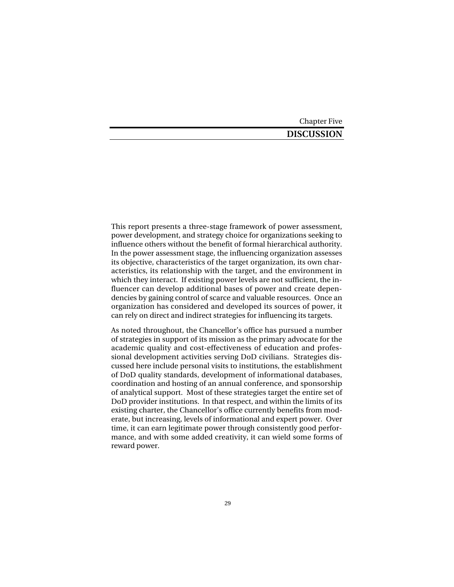Chapter Five

## **DISCUSSION**

This report presents a three-stage framework of power assessment, power development, and strategy choice for organizations seeking to influence others without the benefit of formal hierarchical authority. In the power assessment stage, the influencing organization assesses its objective, characteristics of the target organization, its own characteristics, its relationship with the target, and the environment in which they interact. If existing power levels are not sufficient, the influencer can develop additional bases of power and create dependencies by gaining control of scarce and valuable resources. Once an organization has considered and developed its sources of power, it can rely on direct and indirect strategies for influencing its targets.

As noted throughout, the Chancellor's office has pursued a number of strategies in support of its mission as the primary advocate for the academic quality and cost-effectiveness of education and professional development activities serving DoD civilians. Strategies discussed here include personal visits to institutions, the establishment of DoD quality standards, development of informational databases, coordination and hosting of an annual conference, and sponsorship of analytical support. Most of these strategies target the entire set of DoD provider institutions. In that respect, and within the limits of its existing charter, the Chancellor's office currently benefits from moderate, but increasing, levels of informational and expert power. Over time, it can earn legitimate power through consistently good performance, and with some added creativity, it can wield some forms of reward power.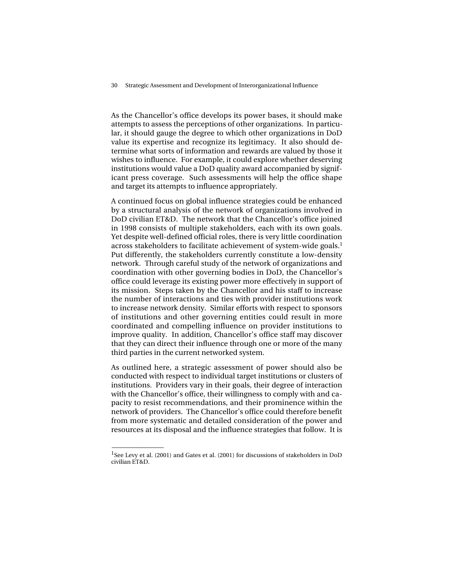As the Chancellor's office develops its power bases, it should make attempts to assess the perceptions of other organizations. In particular, it should gauge the degree to which other organizations in DoD value its expertise and recognize its legitimacy. It also should determine what sorts of information and rewards are valued by those it wishes to influence. For example, it could explore whether deserving institutions would value a DoD quality award accompanied by significant press coverage. Such assessments will help the office shape and target its attempts to influence appropriately.

A continued focus on global influence strategies could be enhanced by a structural analysis of the network of organizations involved in DoD civilian ET&D. The network that the Chancellor's office joined in 1998 consists of multiple stakeholders, each with its own goals. Yet despite well-defined official roles, there is very little coordination across stakeholders to facilitate achievement of system-wide goals.1 Put differently, the stakeholders currently constitute a low-density network. Through careful study of the network of organizations and coordination with other governing bodies in DoD, the Chancellor's office could leverage its existing power more effectively in support of its mission. Steps taken by the Chancellor and his staff to increase the number of interactions and ties with provider institutions work to increase network density. Similar efforts with respect to sponsors of institutions and other governing entities could result in more coordinated and compelling influence on provider institutions to improve quality. In addition, Chancellor's office staff may discover that they can direct their influence through one or more of the many third parties in the current networked system.

As outlined here, a strategic assessment of power should also be conducted with respect to individual target institutions or clusters of institutions. Providers vary in their goals, their degree of interaction with the Chancellor's office, their willingness to comply with and capacity to resist recommendations, and their prominence within the network of providers. The Chancellor's office could therefore benefit from more systematic and detailed consideration of the power and resources at its disposal and the influence strategies that follow. It is

 $\overline{\phantom{a}}$ 

<sup>&</sup>lt;sup>1</sup>See Levy et al. (2001) and Gates et al. (2001) for discussions of stakeholders in DoD civilian ET&D.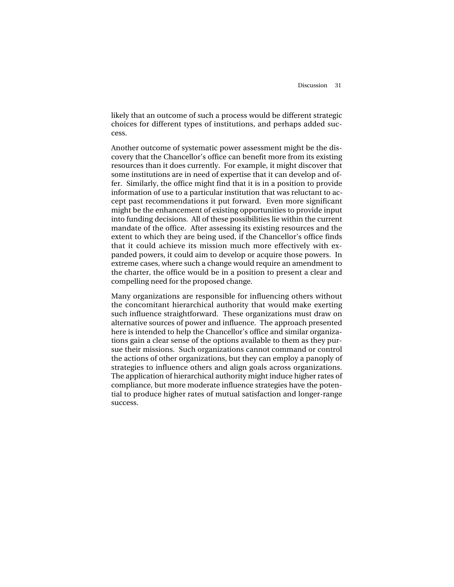likely that an outcome of such a process would be different strategic choices for different types of institutions, and perhaps added success.

Another outcome of systematic power assessment might be the discovery that the Chancellor's office can benefit more from its existing resources than it does currently. For example, it might discover that some institutions are in need of expertise that it can develop and offer. Similarly, the office might find that it is in a position to provide information of use to a particular institution that was reluctant to accept past recommendations it put forward. Even more significant might be the enhancement of existing opportunities to provide input into funding decisions. All of these possibilities lie within the current mandate of the office. After assessing its existing resources and the extent to which they are being used, if the Chancellor's office finds that it could achieve its mission much more effectively with expanded powers, it could aim to develop or acquire those powers. In extreme cases, where such a change would require an amendment to the charter, the office would be in a position to present a clear and compelling need for the proposed change.

Many organizations are responsible for influencing others without the concomitant hierarchical authority that would make exerting such influence straightforward. These organizations must draw on alternative sources of power and influence. The approach presented here is intended to help the Chancellor's office and similar organizations gain a clear sense of the options available to them as they pursue their missions. Such organizations cannot command or control the actions of other organizations, but they can employ a panoply of strategies to influence others and align goals across organizations. The application of hierarchical authority might induce higher rates of compliance, but more moderate influence strategies have the potential to produce higher rates of mutual satisfaction and longer-range success.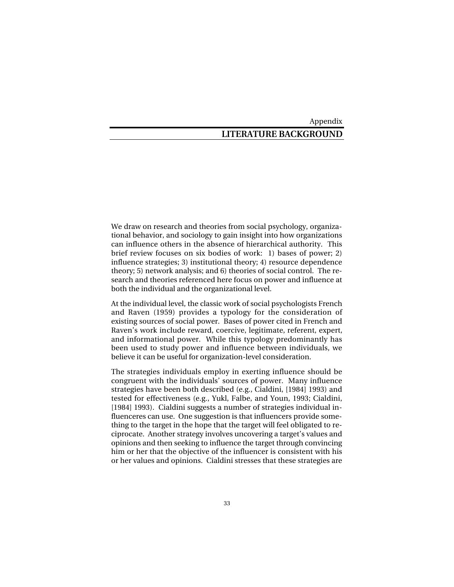Appendix

## **LITERATURE BACKGROUND**

We draw on research and theories from social psychology, organizational behavior, and sociology to gain insight into how organizations can influence others in the absence of hierarchical authority. This brief review focuses on six bodies of work: 1) bases of power; 2) influence strategies; 3) institutional theory; 4) resource dependence theory; 5) network analysis; and 6) theories of social control. The research and theories referenced here focus on power and influence at both the individual and the organizational level.

At the individual level, the classic work of social psychologists French and Raven (1959) provides a typology for the consideration of existing sources of social power. Bases of power cited in French and Raven's work include reward, coercive, legitimate, referent, expert, and informational power. While this typology predominantly has been used to study power and influence between individuals, we believe it can be useful for organization-level consideration.

The strategies individuals employ in exerting influence should be congruent with the individuals' sources of power. Many influence strategies have been both described (e.g., Cialdini, [1984] 1993) and tested for effectiveness (e.g., Yukl, Falbe, and Youn, 1993; Cialdini, [1984] 1993). Cialdini suggests a number of strategies individual influenceres can use. One suggestion is that influencers provide something to the target in the hope that the target will feel obligated to reciprocate. Another strategy involves uncovering a target's values and opinions and then seeking to influence the target through convincing him or her that the objective of the influencer is consistent with his or her values and opinions. Cialdini stresses that these strategies are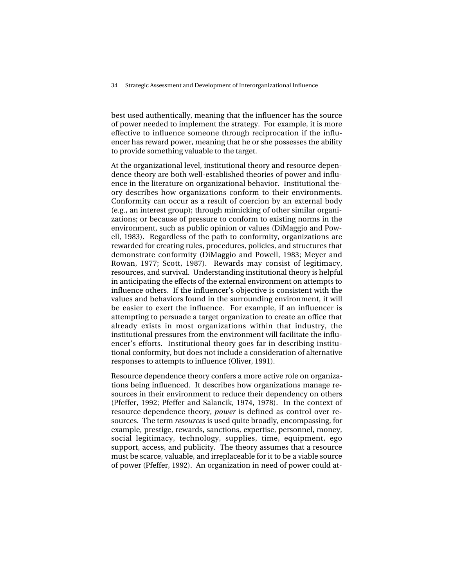best used authentically, meaning that the influencer has the source of power needed to implement the strategy. For example, it is more effective to influence someone through reciprocation if the influencer has reward power, meaning that he or she possesses the ability to provide something valuable to the target.

At the organizational level, institutional theory and resource dependence theory are both well-established theories of power and influence in the literature on organizational behavior. Institutional theory describes how organizations conform to their environments. Conformity can occur as a result of coercion by an external body (e.g., an interest group); through mimicking of other similar organizations; or because of pressure to conform to existing norms in the environment, such as public opinion or values (DiMaggio and Powell, 1983). Regardless of the path to conformity, organizations are rewarded for creating rules, procedures, policies, and structures that demonstrate conformity (DiMaggio and Powell, 1983; Meyer and Rowan, 1977; Scott, 1987). Rewards may consist of legitimacy, resources, and survival. Understanding institutional theory is helpful in anticipating the effects of the external environment on attempts to influence others. If the influencer's objective is consistent with the values and behaviors found in the surrounding environment, it will be easier to exert the influence. For example, if an influencer is attempting to persuade a target organization to create an office that already exists in most organizations within that industry, the institutional pressures from the environment will facilitate the influencer's efforts. Institutional theory goes far in describing institutional conformity, but does not include a consideration of alternative responses to attempts to influence (Oliver, 1991).

Resource dependence theory confers a more active role on organizations being influenced. It describes how organizations manage resources in their environment to reduce their dependency on others (Pfeffer, 1992; Pfeffer and Salancik, 1974, 1978). In the context of resource dependence theory, *power* is defined as control over resources. The term *resources* is used quite broadly, encompassing, for example, prestige, rewards, sanctions, expertise, personnel, money, social legitimacy, technology, supplies, time, equipment, ego support, access, and publicity. The theory assumes that a resource must be scarce, valuable, and irreplaceable for it to be a viable source of power (Pfeffer, 1992). An organization in need of power could at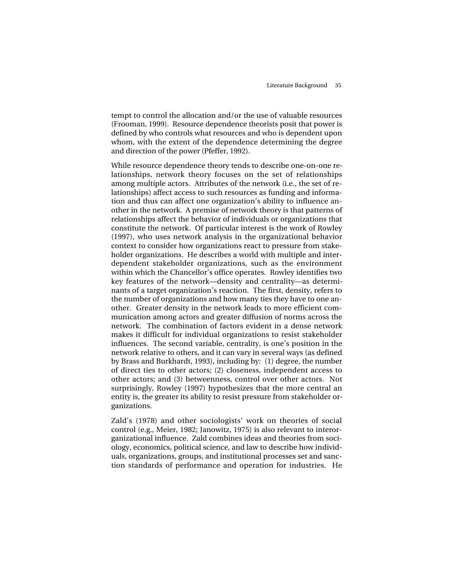tempt to control the allocation and/or the use of valuable resources (Frooman, 1999). Resource dependence theorists posit that power is defined by who controls what resources and who is dependent upon whom, with the extent of the dependence determining the degree and direction of the power (Pfeffer, 1992).

While resource dependence theory tends to describe one-on-one relationships, network theory focuses on the set of relationships among multiple actors. Attributes of the network (i.e., the set of relationships) affect access to such resources as funding and information and thus can affect one organization's ability to influence another in the network. A premise of network theory is that patterns of relationships affect the behavior of individuals or organizations that constitute the network. Of particular interest is the work of Rowley (1997), who uses network analysis in the organizational behavior context to consider how organizations react to pressure from stakeholder organizations. He describes a world with multiple and interdependent stakeholder organizations, such as the environment within which the Chancellor's office operates. Rowley identifies two key features of the network—density and centrality—as determinants of a target organization's reaction. The first, density, refers to the number of organizations and how many ties they have to one another. Greater density in the network leads to more efficient communication among actors and greater diffusion of norms across the network. The combination of factors evident in a dense network makes it difficult for individual organizations to resist stakeholder influences. The second variable, centrality, is one's position in the network relative to others, and it can vary in several ways (as defined by Brass and Burkhardt, 1993), including by: (1) degree, the number of direct ties to other actors; (2) closeness, independent access to other actors; and (3) betweenness, control over other actors. Not surprisingly, Rowley (1997) hypothesizes that the more central an entity is, the greater its ability to resist pressure from stakeholder organizations.

Zald's (1978) and other sociologists' work on theories of social control (e.g., Meier, 1982; Janowitz, 1975) is also relevant to interorganizational influence. Zald combines ideas and theories from sociology, economics, political science, and law to describe how individuals, organizations, groups, and institutional processes set and sanction standards of performance and operation for industries. He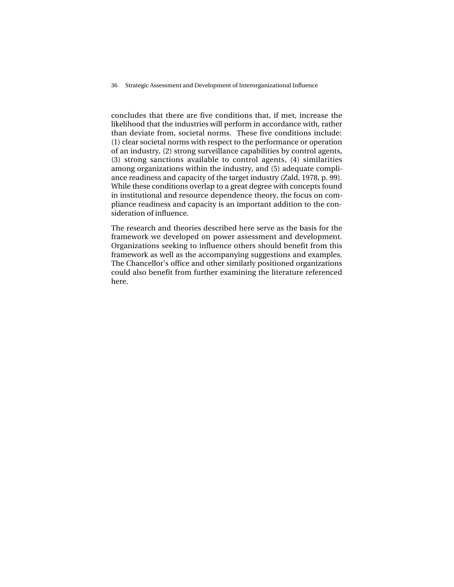36 Strategic Assessment and Development of Interorganizational Influence

concludes that there are five conditions that, if met, increase the likelihood that the industries will perform in accordance with, rather than deviate from, societal norms. These five conditions include: (1) clear societal norms with respect to the performance or operation of an industry, (2) strong surveillance capabilities by control agents, (3) strong sanctions available to control agents, (4) similarities among organizations within the industry, and (5) adequate compliance readiness and capacity of the target industry (Zald, 1978, p. 99). While these conditions overlap to a great degree with concepts found in institutional and resource dependence theory, the focus on compliance readiness and capacity is an important addition to the consideration of influence.

The research and theories described here serve as the basis for the framework we developed on power assessment and development. Organizations seeking to influence others should benefit from this framework as well as the accompanying suggestions and examples. The Chancellor's office and other similarly positioned organizations could also benefit from further examining the literature referenced here.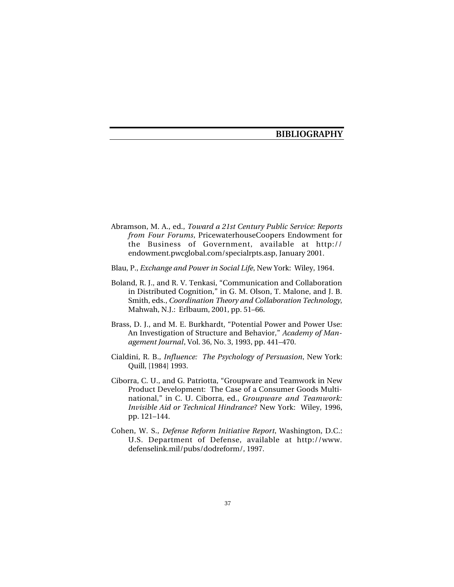## **BIBLIOGRAPHY**

- Abramson, M. A., ed., *Toward a 21st Century Public Service: Reports from Four Forums*, PricewaterhouseCoopers Endowment for the Business of Government, available at http:// endowment.pwcglobal.com/specialrpts.asp, January 2001.
- Blau, P., *Exchange and Power in Social Life*, New York: Wiley, 1964.
- Boland, R. J., and R. V. Tenkasi, "Communication and Collaboration in Distributed Cognition," in G. M. Olson, T. Malone, and J. B. Smith, eds., *Coordination Theory and Collaboration Technology*, Mahwah, N.J.: Erlbaum, 2001, pp. 51–66.
- Brass, D. J., and M. E. Burkhardt, "Potential Power and Power Use: An Investigation of Structure and Behavior," *Academy of Management Journal*, Vol. 36, No. 3, 1993, pp. 441–470.
- Cialdini, R. B., *Influence: The Psychology of Persuasion*, New York: Quill, [1984] 1993.
- Ciborra, C. U., and G. Patriotta, "Groupware and Teamwork in New Product Development: The Case of a Consumer Goods Multinational," in C. U. Ciborra, ed., *Groupware and Teamwork: Invisible Aid or Technical Hindrance?* New York: Wiley, 1996, pp. 121–144.
- Cohen, W. S., *Defense Reform Initiative Report*, Washington, D.C.: U.S. Department of Defense, available at http://www. defenselink.mil/pubs/dodreform/, 1997.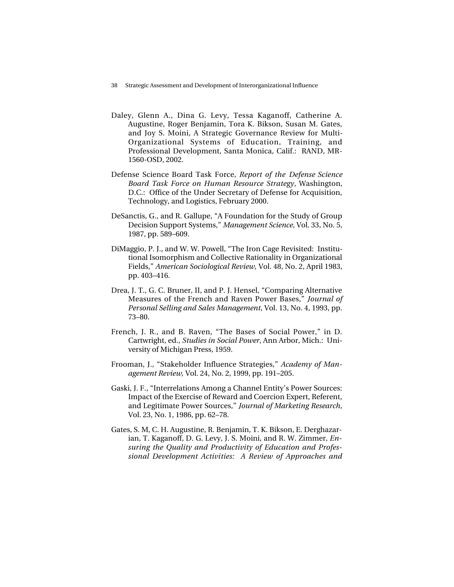- Daley, Glenn A., Dina G. Levy, Tessa Kaganoff, Catherine A. Augustine, Roger Benjamin, Tora K. Bikson, Susan M. Gates, and Joy S. Moini, A Strategic Governance Review for Multi-Organizational Systems of Education, Training, and Professional Development, Santa Monica, Calif.: RAND, MR-1560-OSD, 2002.
- Defense Science Board Task Force, *Report of the Defense Science Board Task Force on Human Resource Strategy*, Washington, D.C.: Office of the Under Secretary of Defense for Acquisition, Technology, and Logistics, February 2000.
- DeSanctis, G., and R. Gallupe, "A Foundation for the Study of Group Decision Support Systems," *Management Science*, Vol. 33, No. 5, 1987, pp. 589–609.
- DiMaggio, P. J., and W. W. Powell, "The Iron Cage Revisited: Institutional Isomorphism and Collective Rationality in Organizational Fields," *American Sociological Review,* Vol. 48, No. 2, April 1983, pp. 403–416.
- Drea, J. T., G. C. Bruner, II, and P. J. Hensel, "Comparing Alternative Measures of the French and Raven Power Bases," *Journal of Personal Selling and Sales Management*, Vol. 13, No. 4, 1993, pp. 73–80.
- French, J. R., and B. Raven, "The Bases of Social Power," in D. Cartwright, ed., *Studies in Social Power*, Ann Arbor, Mich.: University of Michigan Press, 1959.
- Frooman, J., "Stakeholder Influence Strategies," *Academy of Management Review,* Vol. 24, No. 2, 1999, pp. 191–205.
- Gaski, J. F., "Interrelations Among a Channel Entity's Power Sources: Impact of the Exercise of Reward and Coercion Expert, Referent, and Legitimate Power Sources," *Journal of Marketing Research,* Vol. 23, No. 1, 1986, pp. 62–78.
- Gates, S. M, C. H. Augustine, R. Benjamin, T. K. Bikson, E. Derghazarian, T. Kaganoff, D. G. Levy, J. S. Moini, and R. W. Zimmer, *Ensuring the Quality and Productivity of Education and Professional Development Activities: A Review of Approaches and*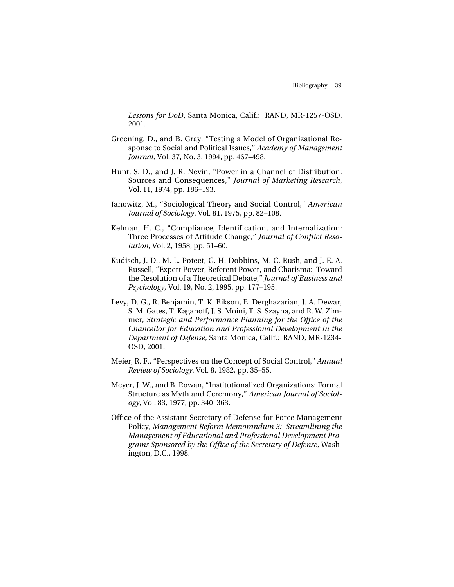*Lessons for DoD*, Santa Monica, Calif.: RAND, MR-1257-OSD, 2001.

- Greening, D., and B. Gray, "Testing a Model of Organizational Response to Social and Political Issues," *Academy of Management Journal,* Vol. 37, No. 3, 1994, pp. 467–498.
- Hunt, S. D., and J. R. Nevin, "Power in a Channel of Distribution: Sources and Consequences," *Journal of Marketing Research,* Vol. 11, 1974, pp. 186–193.
- Janowitz, M., "Sociological Theory and Social Control," *American Journal of Sociology*, Vol. 81, 1975, pp. 82–108.
- Kelman, H. C., "Compliance, Identification, and Internalization: Three Processes of Attitude Change," *Journal of Conflict Resolution*, Vol. 2, 1958, pp. 51–60.
- Kudisch, J. D., M. L. Poteet, G. H. Dobbins, M. C. Rush, and J. E. A. Russell, "Expert Power, Referent Power, and Charisma: Toward the Resolution of a Theoretical Debate," *Journal of Business and Psychology,* Vol. 19, No. 2, 1995, pp. 177–195.
- Levy, D. G., R. Benjamin, T. K. Bikson, E. Derghazarian, J. A. Dewar, S. M. Gates, T. Kaganoff, J. S. Moini, T. S. Szayna, and R. W. Zimmer, *Strategic and Performance Planning for the Office of the Chancellor for Education and Professional Development in the Department of Defense*, Santa Monica, Calif.: RAND, MR-1234- OSD, 2001.
- Meier, R. F., "Perspectives on the Concept of Social Control," *Annual Review of Sociology*, Vol. 8, 1982, pp. 35–55.
- Meyer, J. W., and B. Rowan, "Institutionalized Organizations: Formal Structure as Myth and Ceremony," *American Journal of Sociology*, Vol. 83, 1977, pp. 340–363.
- Office of the Assistant Secretary of Defense for Force Management Policy, *Management Reform Memorandum 3: Streamlining the Management of Educational and Professional Development Programs Sponsored by the Office of the Secretary of Defense*, Washington, D.C., 1998.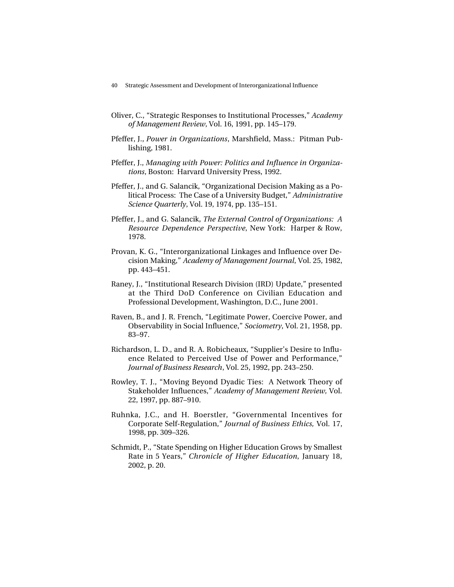- Oliver, C., "Strategic Responses to Institutional Processes," *Academy of Management Review*, Vol. 16, 1991, pp. 145–179.
- Pfeffer, J., *Power in Organizations*, Marshfield, Mass.: Pitman Publishing, 1981.
- Pfeffer, J., *Managing with Power: Politics and Influence in Organizations*, Boston: Harvard University Press, 1992.
- Pfeffer, J., and G. Salancik, "Organizational Decision Making as a Political Process: The Case of a University Budget," *Administrative Science Quarterly*, Vol. 19, 1974, pp. 135–151.
- Pfeffer, J., and G. Salancik, *The External Control of Organizations: A Resource Dependence Perspective*, New York: Harper & Row, 1978.
- Provan, K. G., "Interorganizational Linkages and Influence over Decision Making," *Academy of Management Journal*, Vol. 25, 1982, pp. 443–451.
- Raney, J., "Institutional Research Division (IRD) Update," presented at the Third DoD Conference on Civilian Education and Professional Development, Washington, D.C., June 2001.
- Raven, B., and J. R. French, "Legitimate Power, Coercive Power, and Observability in Social Influence," *Sociometry*, Vol. 21, 1958, pp. 83–97.
- Richardson, L. D., and R. A. Robicheaux, "Supplier's Desire to Influence Related to Perceived Use of Power and Performance," *Journal of Business Research*, Vol. 25, 1992, pp. 243–250.
- Rowley, T. J., "Moving Beyond Dyadic Ties: A Network Theory of Stakeholder Influences," *Academy of Management Review,* Vol. 22, 1997, pp. 887–910.
- Ruhnka, J.C., and H. Boerstler, "Governmental Incentives for Corporate Self-Regulation," *Journal of Business Ethics,* Vol. 17, 1998, pp. 309–326.
- Schmidt, P., "State Spending on Higher Education Grows by Smallest Rate in 5 Years," *Chronicle of Higher Education*, January 18, 2002, p. 20.